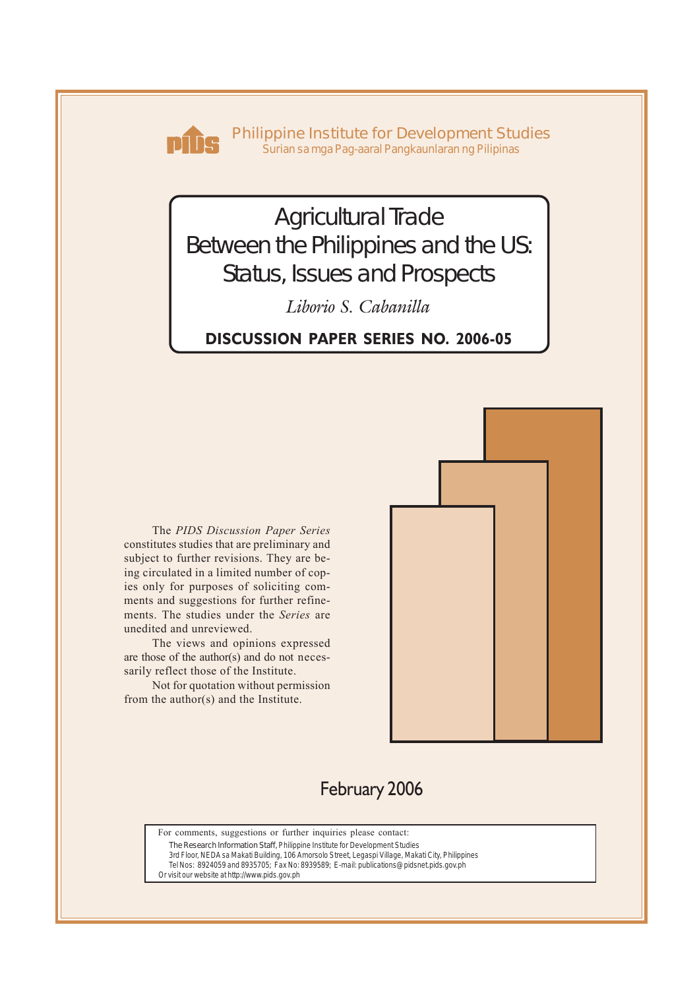

**Philippine Institute for Development Studies** *Surian sa mga Pag-aaral Pangkaunlaran ng Pilipinas*

# Agricultural Trade Between the Philippines and the US: Status, Issues and Prospects

*Liborio S. Cabanilla*

**DISCUSSION PAPER SERIES NO. 2006-05**

The *PIDS Discussion Paper Series* constitutes studies that are preliminary and subject to further revisions. They are being circulated in a limited number of copies only for purposes of soliciting comments and suggestions for further refinements. The studies under the *Series* are unedited and unreviewed.

The views and opinions expressed are those of the author(s) and do not necessarily reflect those of the Institute.

Not for quotation without permission from the author(s) and the Institute.



# February 2006

For comments, suggestions or further inquiries please contact:

**The Research Information Staff,** Philippine Institute for Development Studies

3rd Floor, NEDA sa Makati Building, 106 Amorsolo Street, Legaspi Village, Makati City, Philippines Tel Nos: 8924059 and 8935705; Fax No: 8939589; E-mail: publications@pidsnet.pids.gov.ph

Or visit our website at http://www.pids.gov.ph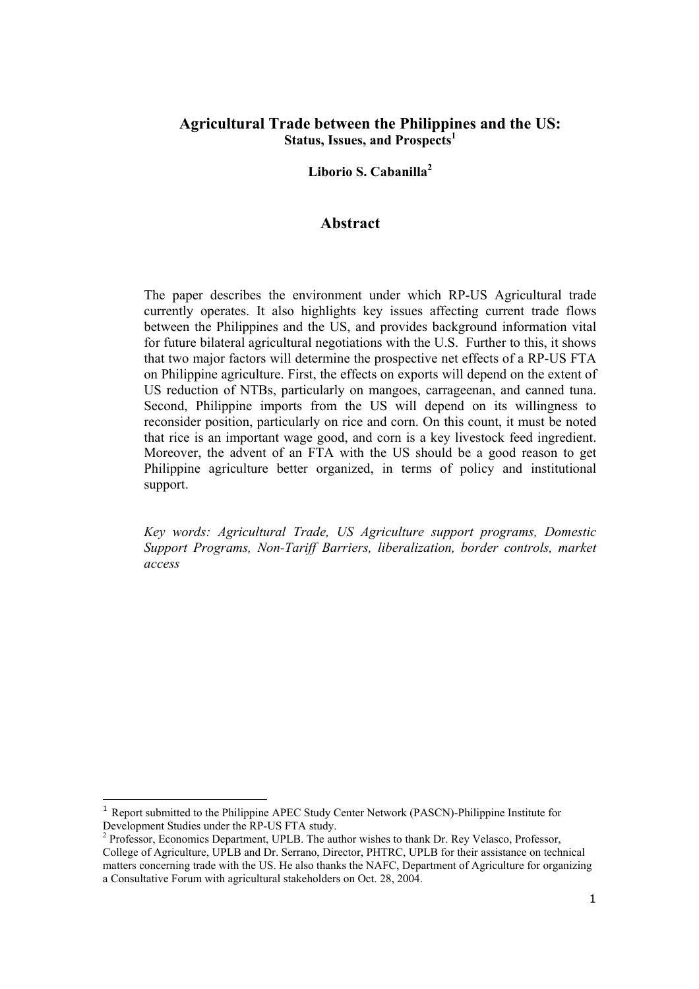# **Agricultural Trade between the Philippines and the US:**  Status, Issues, and Prospects<sup>1</sup>

**Liborio S. Cabanilla<sup>2</sup>**

#### **Abstract**

The paper describes the environment under which RP-US Agricultural trade currently operates. It also highlights key issues affecting current trade flows between the Philippines and the US, and provides background information vital for future bilateral agricultural negotiations with the U.S. Further to this, it shows that two major factors will determine the prospective net effects of a RP-US FTA on Philippine agriculture. First, the effects on exports will depend on the extent of US reduction of NTBs, particularly on mangoes, carrageenan, and canned tuna. Second, Philippine imports from the US will depend on its willingness to reconsider position, particularly on rice and corn. On this count, it must be noted that rice is an important wage good, and corn is a key livestock feed ingredient. Moreover, the advent of an FTA with the US should be a good reason to get Philippine agriculture better organized, in terms of policy and institutional support.

*Key words: Agricultural Trade, US Agriculture support programs, Domestic Support Programs, Non-Tariff Barriers, liberalization, border controls, market access* 

 $\overline{a}$ 

<sup>1</sup> Report submitted to the Philippine APEC Study Center Network (PASCN)-Philippine Institute for Development Studies under the RP-US FTA study.

<sup>&</sup>lt;sup>2</sup> Professor, Economics Department, UPLB. The author wishes to thank Dr. Rey Velasco, Professor, College of Agriculture, UPLB and Dr. Serrano, Director, PHTRC, UPLB for their assistance on technical matters concerning trade with the US. He also thanks the NAFC, Department of Agriculture for organizing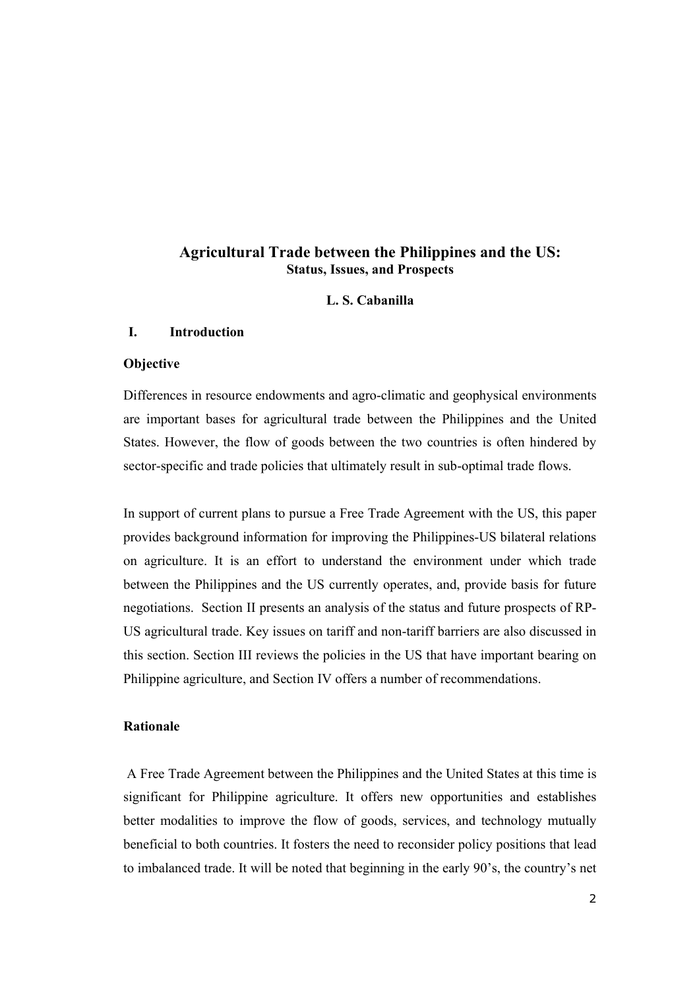# **Agricultural Trade between the Philippines and the US: Status, Issues, and Prospects**

#### **L. S. Cabanilla**

#### **I. Introduction**

#### **Objective**

Differences in resource endowments and agro-climatic and geophysical environments are important bases for agricultural trade between the Philippines and the United States. However, the flow of goods between the two countries is often hindered by sector-specific and trade policies that ultimately result in sub-optimal trade flows.

In support of current plans to pursue a Free Trade Agreement with the US, this paper provides background information for improving the Philippines-US bilateral relations on agriculture. It is an effort to understand the environment under which trade between the Philippines and the US currently operates, and, provide basis for future negotiations. Section II presents an analysis of the status and future prospects of RP-US agricultural trade. Key issues on tariff and non-tariff barriers are also discussed in this section. Section III reviews the policies in the US that have important bearing on Philippine agriculture, and Section IV offers a number of recommendations.

#### **Rationale**

A Free Trade Agreement between the Philippines and the United States at this time is significant for Philippine agriculture. It offers new opportunities and establishes better modalities to improve the flow of goods, services, and technology mutually beneficial to both countries. It fosters the need to reconsider policy positions that lead to imbalanced trade. It will be noted that beginning in the early 90's, the country's net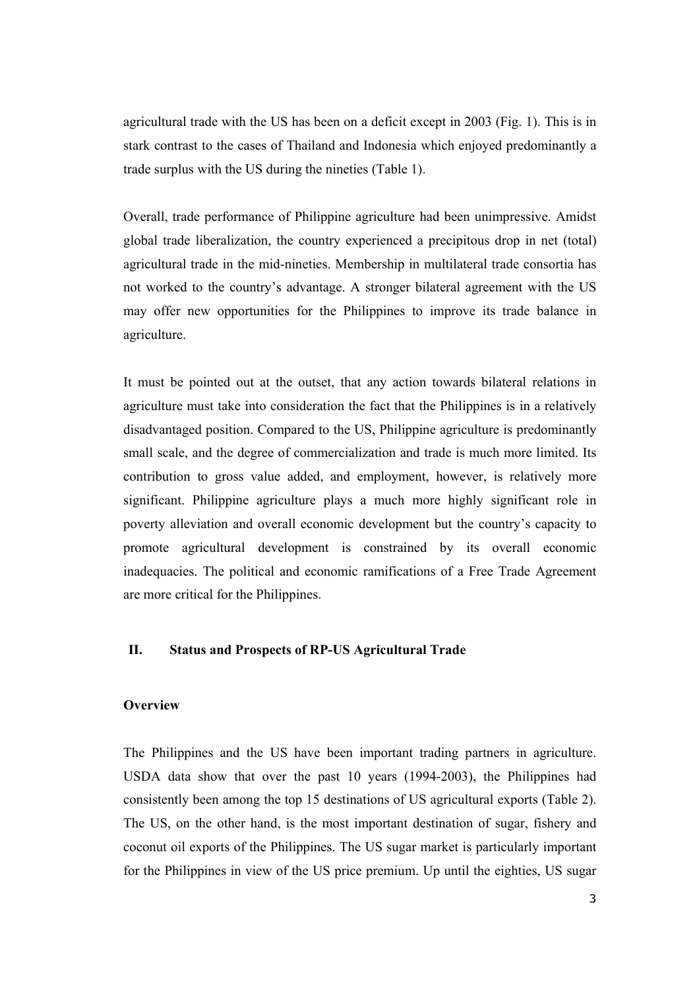agricultural trade with the US has been on a deficit except in 2003 (Fig. 1). This is in stark contrast to the cases of Thailand and Indonesia which enjoyed predominantly a trade surplus with the US during the nineties (Table 1).

Overall, trade performance of Philippine agriculture had been unimpressive. Amidst global trade liberalization, the country experienced a precipitous drop in net (total) agricultural trade in the mid-nineties. Membership in multilateral trade consortia has not worked to the country's advantage. A stronger bilateral agreement with the US may offer new opportunities for the Philippines to improve its trade balance in agriculture.

It must be pointed out at the outset, that any action towards bilateral relations in agriculture must take into consideration the fact that the Philippines is in a relatively disadvantaged position. Compared to the US, Philippine agriculture is predominantly small scale, and the degree of commercialization and trade is much more limited. Its contribution to gross value added, and employment, however, is relatively more significant. Philippine agriculture plays a much more highly significant role in poverty alleviation and overall economic development but the country's capacity to promote agricultural development is constrained by its overall economic inadequacies. The political and economic ramifications of a Free Trade Agreement are more critical for the Philippines.

#### **II. Status and Prospects of RP-US Agricultural Trade**

#### **Overview**

The Philippines and the US have been important trading partners in agriculture. USDA data show that over the past 10 years (1994-2003), the Philippines had consistently been among the top 15 destinations of US agricultural exports (Table 2). The US, on the other hand, is the most important destination of sugar, fishery and coconut oil exports of the Philippines. The US sugar market is particularly important for the Philippines in view of the US price premium. Up until the eighties, US sugar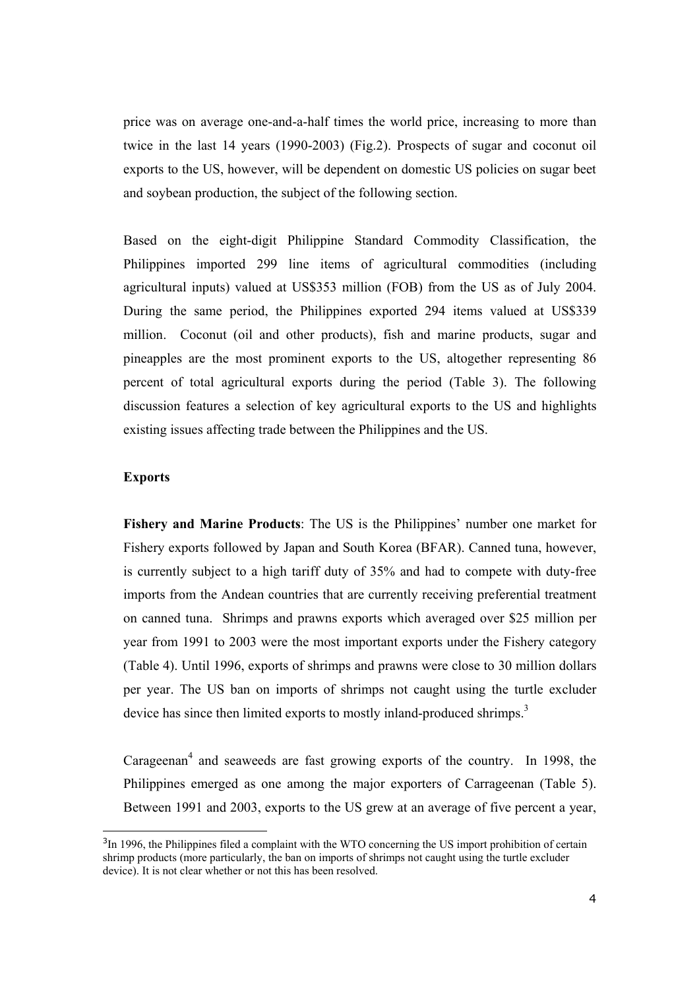price was on average one-and-a-half times the world price, increasing to more than twice in the last 14 years (1990-2003) (Fig.2). Prospects of sugar and coconut oil exports to the US, however, will be dependent on domestic US policies on sugar beet and soybean production, the subject of the following section.

Based on the eight-digit Philippine Standard Commodity Classification, the Philippines imported 299 line items of agricultural commodities (including agricultural inputs) valued at US\$353 million (FOB) from the US as of July 2004. During the same period, the Philippines exported 294 items valued at US\$339 million. Coconut (oil and other products), fish and marine products, sugar and pineapples are the most prominent exports to the US, altogether representing 86 percent of total agricultural exports during the period (Table 3). The following discussion features a selection of key agricultural exports to the US and highlights existing issues affecting trade between the Philippines and the US.

#### **Exports**

 $\overline{a}$ 

**Fishery and Marine Products**: The US is the Philippines' number one market for Fishery exports followed by Japan and South Korea (BFAR). Canned tuna, however, is currently subject to a high tariff duty of 35% and had to compete with duty-free imports from the Andean countries that are currently receiving preferential treatment on canned tuna. Shrimps and prawns exports which averaged over \$25 million per year from 1991 to 2003 were the most important exports under the Fishery category (Table 4). Until 1996, exports of shrimps and prawns were close to 30 million dollars per year. The US ban on imports of shrimps not caught using the turtle excluder device has since then limited exports to mostly inland-produced shrimps.<sup>3</sup>

Carageenan<sup>4</sup> and seaweeds are fast growing exports of the country. In 1998, the Philippines emerged as one among the major exporters of Carrageenan (Table 5). Between 1991 and 2003, exports to the US grew at an average of five percent a year,

 $3$ In 1996, the Philippines filed a complaint with the WTO concerning the US import prohibition of certain shrimp products (more particularly, the ban on imports of shrimps not caught using the turtle excluder device). It is not clear whether or not this has been resolved.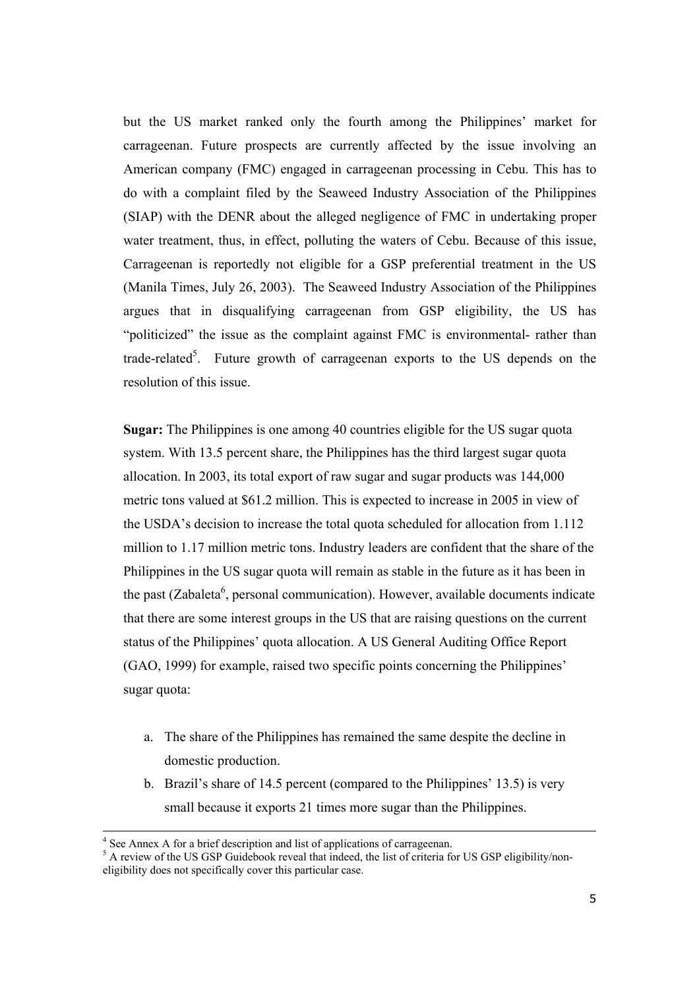but the US market ranked only the fourth among the Philippines' market for carrageenan. Future prospects are currently affected by the issue involving an American company (FMC) engaged in carrageenan processing in Cebu. This has to do with a complaint filed by the Seaweed Industry Association of the Philippines (SIAP) with the DENR about the alleged negligence of FMC in undertaking proper water treatment, thus, in effect, polluting the waters of Cebu. Because of this issue, Carrageenan is reportedly not eligible for a GSP preferential treatment in the US (Manila Times, July 26, 2003). The Seaweed Industry Association of the Philippines argues that in disqualifying carrageenan from GSP eligibility, the US has "politicized" the issue as the complaint against FMC is environmental- rather than trade-related<sup>5</sup>. Future growth of carrageenan exports to the US depends on the resolution of this issue.

**Sugar:** The Philippines is one among 40 countries eligible for the US sugar quota system. With 13.5 percent share, the Philippines has the third largest sugar quota allocation. In 2003, its total export of raw sugar and sugar products was 144,000 metric tons valued at \$61.2 million. This is expected to increase in 2005 in view of the USDA's decision to increase the total quota scheduled for allocation from 1.112 million to 1.17 million metric tons. Industry leaders are confident that the share of the Philippines in the US sugar quota will remain as stable in the future as it has been in the past (Zabaleta<sup>6</sup>, personal communication). However, available documents indicate that there are some interest groups in the US that are raising questions on the current status of the Philippines' quota allocation. A US General Auditing Office Report (GAO, 1999) for example, raised two specific points concerning the Philippines' sugar quota:

- a. The share of the Philippines has remained the same despite the decline in domestic production.
- b. Brazil's share of 14.5 percent (compared to the Philippines' 13.5) is very small because it exports 21 times more sugar than the Philippines.

 $\overline{a}$ 

<sup>&</sup>lt;sup>4</sup> See Annex A for a brief description and list of applications of carrageenan.

<sup>&</sup>lt;sup>5</sup> A review of the US GSP Guidebook reveal that indeed, the list of criteria for US GSP eligibility/noneligibility does not specifically cover this particular case.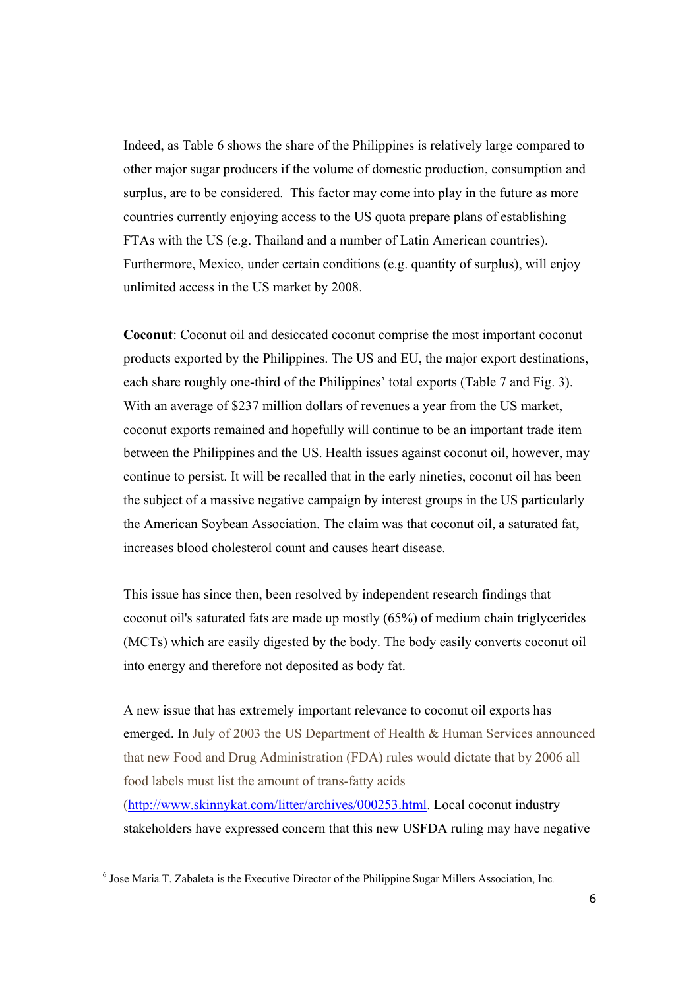Indeed, as Table 6 shows the share of the Philippines is relatively large compared to other major sugar producers if the volume of domestic production, consumption and surplus, are to be considered. This factor may come into play in the future as more countries currently enjoying access to the US quota prepare plans of establishing FTAs with the US (e.g. Thailand and a number of Latin American countries). Furthermore, Mexico, under certain conditions (e.g. quantity of surplus), will enjoy unlimited access in the US market by 2008.

**Coconut**: Coconut oil and desiccated coconut comprise the most important coconut products exported by the Philippines. The US and EU, the major export destinations, each share roughly one-third of the Philippines' total exports (Table 7 and Fig. 3). With an average of \$237 million dollars of revenues a year from the US market, coconut exports remained and hopefully will continue to be an important trade item between the Philippines and the US. Health issues against coconut oil, however, may continue to persist. It will be recalled that in the early nineties, coconut oil has been the subject of a massive negative campaign by interest groups in the US particularly the American Soybean Association. The claim was that coconut oil, a saturated fat, increases blood cholesterol count and causes heart disease.

This issue has since then, been resolved by independent research findings that coconut oil's saturated fats are made up mostly (65%) of medium chain triglycerides (MCTs) which are easily digested by the body. The body easily converts coconut oil into energy and therefore not deposited as body fat.

A new issue that has extremely important relevance to coconut oil exports has emerged. In July of 2003 the US Department of Health & Human Services announced that new Food and Drug Administration (FDA) rules would dictate that by 2006 all food labels must list the amount of trans-fatty acids (http://www.skinnykat.com/litter/archives/000253.html. Local coconut industry stakeholders have expressed concern that this new USFDA ruling may have negative

<sup>&</sup>lt;sup>6</sup> Jose Maria T. Zabaleta is the Executive Director of the Philippine Sugar Millers Association, Inc.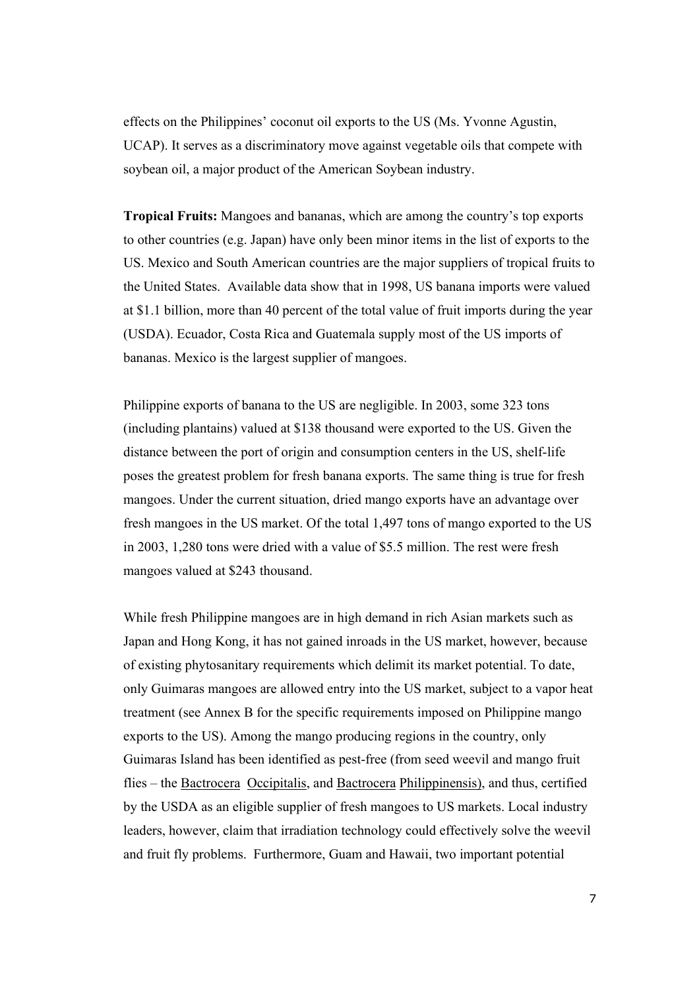effects on the Philippines' coconut oil exports to the US (Ms. Yvonne Agustin, UCAP). It serves as a discriminatory move against vegetable oils that compete with soybean oil, a major product of the American Soybean industry.

**Tropical Fruits:** Mangoes and bananas, which are among the country's top exports to other countries (e.g. Japan) have only been minor items in the list of exports to the US. Mexico and South American countries are the major suppliers of tropical fruits to the United States. Available data show that in 1998, US banana imports were valued at \$1.1 billion, more than 40 percent of the total value of fruit imports during the year (USDA). Ecuador, Costa Rica and Guatemala supply most of the US imports of bananas. Mexico is the largest supplier of mangoes.

Philippine exports of banana to the US are negligible. In 2003, some 323 tons (including plantains) valued at \$138 thousand were exported to the US. Given the distance between the port of origin and consumption centers in the US, shelf-life poses the greatest problem for fresh banana exports. The same thing is true for fresh mangoes. Under the current situation, dried mango exports have an advantage over fresh mangoes in the US market. Of the total 1,497 tons of mango exported to the US in 2003, 1,280 tons were dried with a value of \$5.5 million. The rest were fresh mangoes valued at \$243 thousand.

While fresh Philippine mangoes are in high demand in rich Asian markets such as Japan and Hong Kong, it has not gained inroads in the US market, however, because of existing phytosanitary requirements which delimit its market potential. To date, only Guimaras mangoes are allowed entry into the US market, subject to a vapor heat treatment (see Annex B for the specific requirements imposed on Philippine mango exports to the US). Among the mango producing regions in the country, only Guimaras Island has been identified as pest-free (from seed weevil and mango fruit flies – the Bactrocera Occipitalis, and Bactrocera Philippinensis), and thus, certified by the USDA as an eligible supplier of fresh mangoes to US markets. Local industry leaders, however, claim that irradiation technology could effectively solve the weevil and fruit fly problems. Furthermore, Guam and Hawaii, two important potential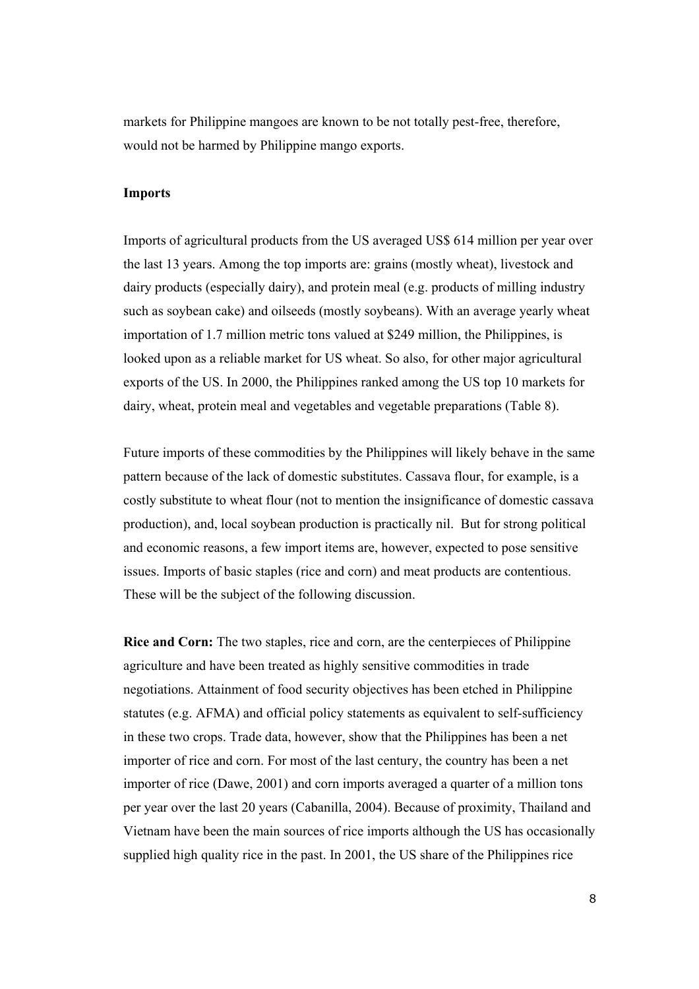markets for Philippine mangoes are known to be not totally pest-free, therefore, would not be harmed by Philippine mango exports.

#### **Imports**

Imports of agricultural products from the US averaged US\$ 614 million per year over the last 13 years. Among the top imports are: grains (mostly wheat), livestock and dairy products (especially dairy), and protein meal (e.g. products of milling industry such as soybean cake) and oilseeds (mostly soybeans). With an average yearly wheat importation of 1.7 million metric tons valued at \$249 million, the Philippines, is looked upon as a reliable market for US wheat. So also, for other major agricultural exports of the US. In 2000, the Philippines ranked among the US top 10 markets for dairy, wheat, protein meal and vegetables and vegetable preparations (Table 8).

Future imports of these commodities by the Philippines will likely behave in the same pattern because of the lack of domestic substitutes. Cassava flour, for example, is a costly substitute to wheat flour (not to mention the insignificance of domestic cassava production), and, local soybean production is practically nil. But for strong political and economic reasons, a few import items are, however, expected to pose sensitive issues. Imports of basic staples (rice and corn) and meat products are contentious. These will be the subject of the following discussion.

**Rice and Corn:** The two staples, rice and corn, are the centerpieces of Philippine agriculture and have been treated as highly sensitive commodities in trade negotiations. Attainment of food security objectives has been etched in Philippine statutes (e.g. AFMA) and official policy statements as equivalent to self-sufficiency in these two crops. Trade data, however, show that the Philippines has been a net importer of rice and corn. For most of the last century, the country has been a net importer of rice (Dawe, 2001) and corn imports averaged a quarter of a million tons per year over the last 20 years (Cabanilla, 2004). Because of proximity, Thailand and Vietnam have been the main sources of rice imports although the US has occasionally supplied high quality rice in the past. In 2001, the US share of the Philippines rice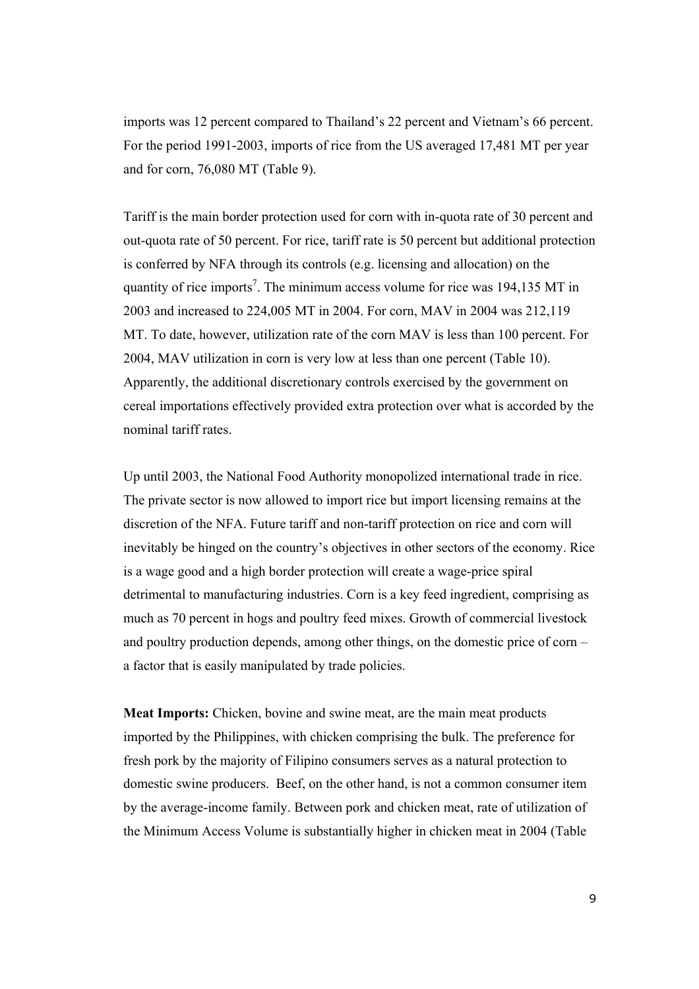imports was 12 percent compared to Thailand's 22 percent and Vietnam's 66 percent. For the period 1991-2003, imports of rice from the US averaged 17,481 MT per year and for corn, 76,080 MT (Table 9).

Tariff is the main border protection used for corn with in-quota rate of 30 percent and out-quota rate of 50 percent. For rice, tariff rate is 50 percent but additional protection is conferred by NFA through its controls (e.g. licensing and allocation) on the quantity of rice imports<sup>7</sup>. The minimum access volume for rice was  $194,135$  MT in 2003 and increased to 224,005 MT in 2004. For corn, MAV in 2004 was 212,119 MT. To date, however, utilization rate of the corn MAV is less than 100 percent. For 2004, MAV utilization in corn is very low at less than one percent (Table 10). Apparently, the additional discretionary controls exercised by the government on cereal importations effectively provided extra protection over what is accorded by the nominal tariff rates.

Up until 2003, the National Food Authority monopolized international trade in rice. The private sector is now allowed to import rice but import licensing remains at the discretion of the NFA. Future tariff and non-tariff protection on rice and corn will inevitably be hinged on the country's objectives in other sectors of the economy. Rice is a wage good and a high border protection will create a wage-price spiral detrimental to manufacturing industries. Corn is a key feed ingredient, comprising as much as 70 percent in hogs and poultry feed mixes. Growth of commercial livestock and poultry production depends, among other things, on the domestic price of corn – a factor that is easily manipulated by trade policies.

**Meat Imports:** Chicken, bovine and swine meat, are the main meat products imported by the Philippines, with chicken comprising the bulk. The preference for fresh pork by the majority of Filipino consumers serves as a natural protection to domestic swine producers. Beef, on the other hand, is not a common consumer item by the average-income family. Between pork and chicken meat, rate of utilization of the Minimum Access Volume is substantially higher in chicken meat in 2004 (Table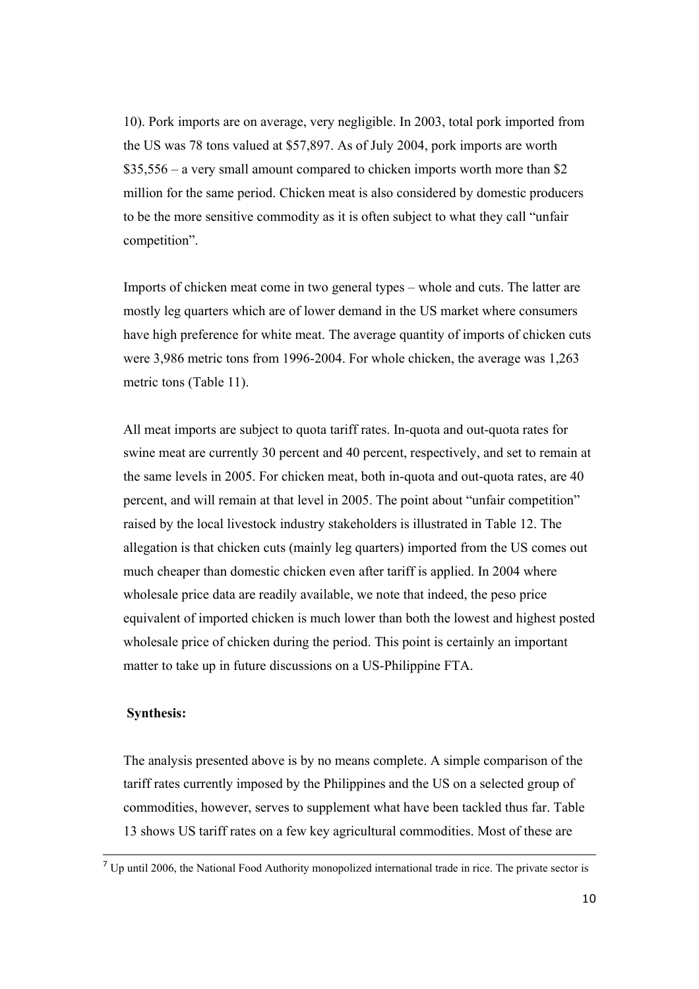10). Pork imports are on average, very negligible. In 2003, total pork imported from the US was 78 tons valued at \$57,897. As of July 2004, pork imports are worth \$35,556 – a very small amount compared to chicken imports worth more than \$2 million for the same period. Chicken meat is also considered by domestic producers to be the more sensitive commodity as it is often subject to what they call "unfair competition".

Imports of chicken meat come in two general types – whole and cuts. The latter are mostly leg quarters which are of lower demand in the US market where consumers have high preference for white meat. The average quantity of imports of chicken cuts were 3,986 metric tons from 1996-2004. For whole chicken, the average was 1,263 metric tons (Table 11).

All meat imports are subject to quota tariff rates. In-quota and out-quota rates for swine meat are currently 30 percent and 40 percent, respectively, and set to remain at the same levels in 2005. For chicken meat, both in-quota and out-quota rates, are 40 percent, and will remain at that level in 2005. The point about "unfair competition" raised by the local livestock industry stakeholders is illustrated in Table 12. The allegation is that chicken cuts (mainly leg quarters) imported from the US comes out much cheaper than domestic chicken even after tariff is applied. In 2004 where wholesale price data are readily available, we note that indeed, the peso price equivalent of imported chicken is much lower than both the lowest and highest posted wholesale price of chicken during the period. This point is certainly an important matter to take up in future discussions on a US-Philippine FTA.

#### **Synthesis:**

The analysis presented above is by no means complete. A simple comparison of the tariff rates currently imposed by the Philippines and the US on a selected group of commodities, however, serves to supplement what have been tackled thus far. Table 13 shows US tariff rates on a few key agricultural commodities. Most of these are

<sup>&</sup>lt;sup>7</sup> Up until 2006, the National Food Authority monopolized international trade in rice. The private sector is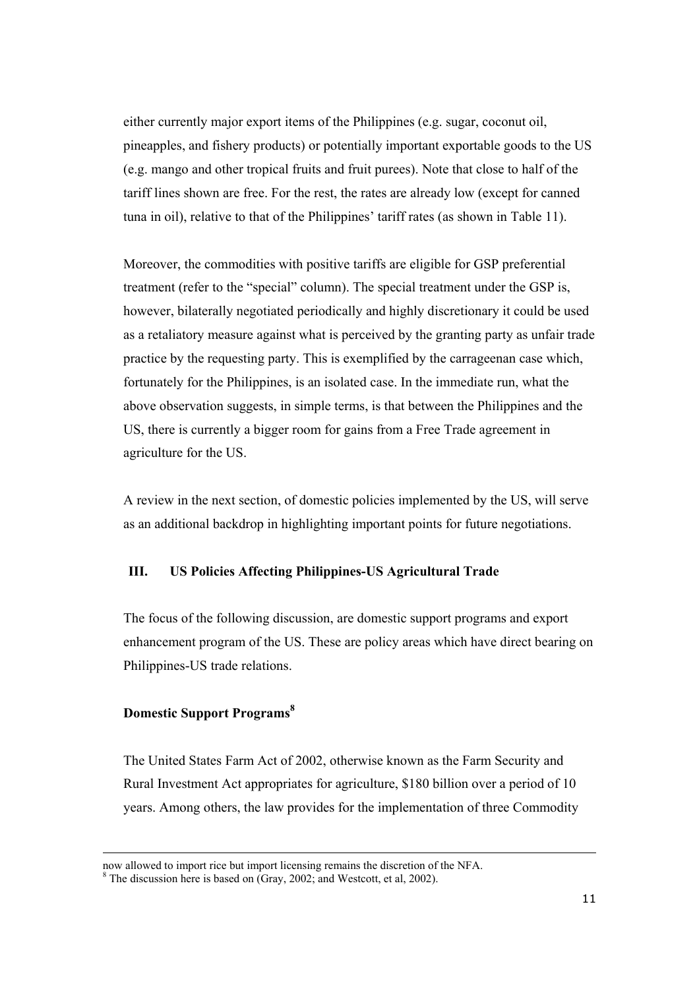either currently major export items of the Philippines (e.g. sugar, coconut oil, pineapples, and fishery products) or potentially important exportable goods to the US (e.g. mango and other tropical fruits and fruit purees). Note that close to half of the tariff lines shown are free. For the rest, the rates are already low (except for canned tuna in oil), relative to that of the Philippines' tariff rates (as shown in Table 11).

Moreover, the commodities with positive tariffs are eligible for GSP preferential treatment (refer to the "special" column). The special treatment under the GSP is, however, bilaterally negotiated periodically and highly discretionary it could be used as a retaliatory measure against what is perceived by the granting party as unfair trade practice by the requesting party. This is exemplified by the carrageenan case which, fortunately for the Philippines, is an isolated case. In the immediate run, what the above observation suggests, in simple terms, is that between the Philippines and the US, there is currently a bigger room for gains from a Free Trade agreement in agriculture for the US.

A review in the next section, of domestic policies implemented by the US, will serve as an additional backdrop in highlighting important points for future negotiations.

## **III. US Policies Affecting Philippines-US Agricultural Trade**

The focus of the following discussion, are domestic support programs and export enhancement program of the US. These are policy areas which have direct bearing on Philippines-US trade relations.

#### **Domestic Support Programs**<sup>8</sup>

 $\overline{a}$ 

The United States Farm Act of 2002, otherwise known as the Farm Security and Rural Investment Act appropriates for agriculture, \$180 billion over a period of 10 years. Among others, the law provides for the implementation of three Commodity

now allowed to import rice but import licensing remains the discretion of the NFA. <sup>8</sup>

<sup>&</sup>lt;sup>8</sup> The discussion here is based on (Gray, 2002; and Westcott, et al, 2002).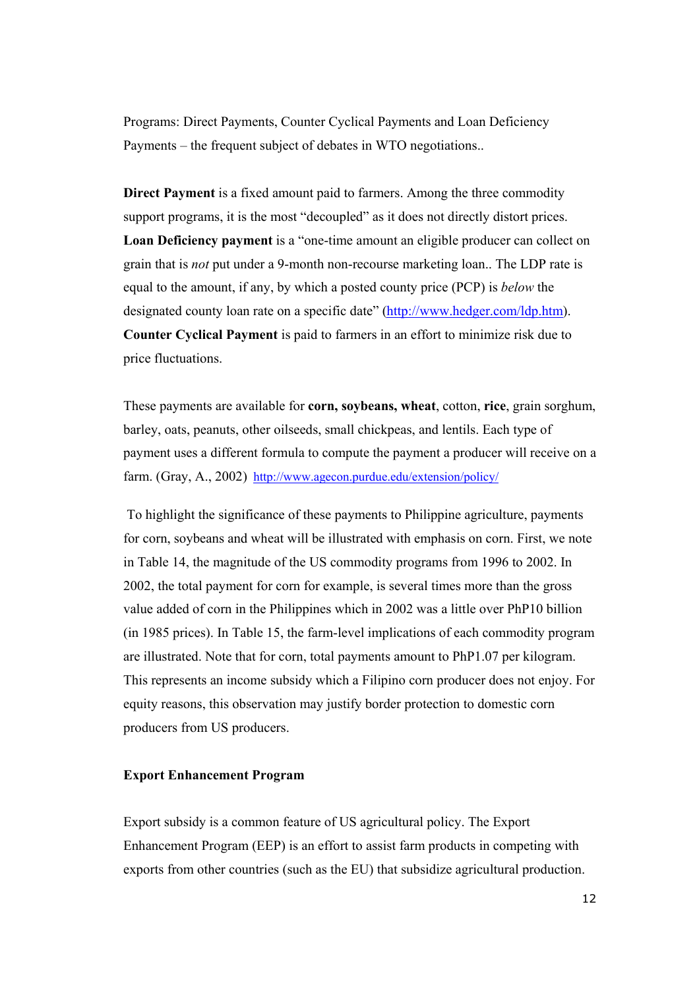Programs: Direct Payments, Counter Cyclical Payments and Loan Deficiency Payments – the frequent subject of debates in WTO negotiations..

**Direct Payment** is a fixed amount paid to farmers. Among the three commodity support programs, it is the most "decoupled" as it does not directly distort prices. **Loan Deficiency payment** is a "one-time amount an eligible producer can collect on grain that is *not* put under a 9-month non-recourse marketing loan.. The LDP rate is equal to the amount, if any, by which a posted county price (PCP) is *below* the designated county loan rate on a specific date" (http://www.hedger.com/ldp.htm). **Counter Cyclical Payment** is paid to farmers in an effort to minimize risk due to price fluctuations.

These payments are available for **corn, soybeans, wheat**, cotton, **rice**, grain sorghum, barley, oats, peanuts, other oilseeds, small chickpeas, and lentils. Each type of payment uses a different formula to compute the payment a producer will receive on a farm. (Gray, A., 2002) http://www.agecon.purdue.edu/extension/policy/

 To highlight the significance of these payments to Philippine agriculture, payments for corn, soybeans and wheat will be illustrated with emphasis on corn. First, we note in Table 14, the magnitude of the US commodity programs from 1996 to 2002. In 2002, the total payment for corn for example, is several times more than the gross value added of corn in the Philippines which in 2002 was a little over PhP10 billion (in 1985 prices). In Table 15, the farm-level implications of each commodity program are illustrated. Note that for corn, total payments amount to PhP1.07 per kilogram. This represents an income subsidy which a Filipino corn producer does not enjoy. For equity reasons, this observation may justify border protection to domestic corn producers from US producers.

#### **Export Enhancement Program**

Export subsidy is a common feature of US agricultural policy. The Export Enhancement Program (EEP) is an effort to assist farm products in competing with exports from other countries (such as the EU) that subsidize agricultural production.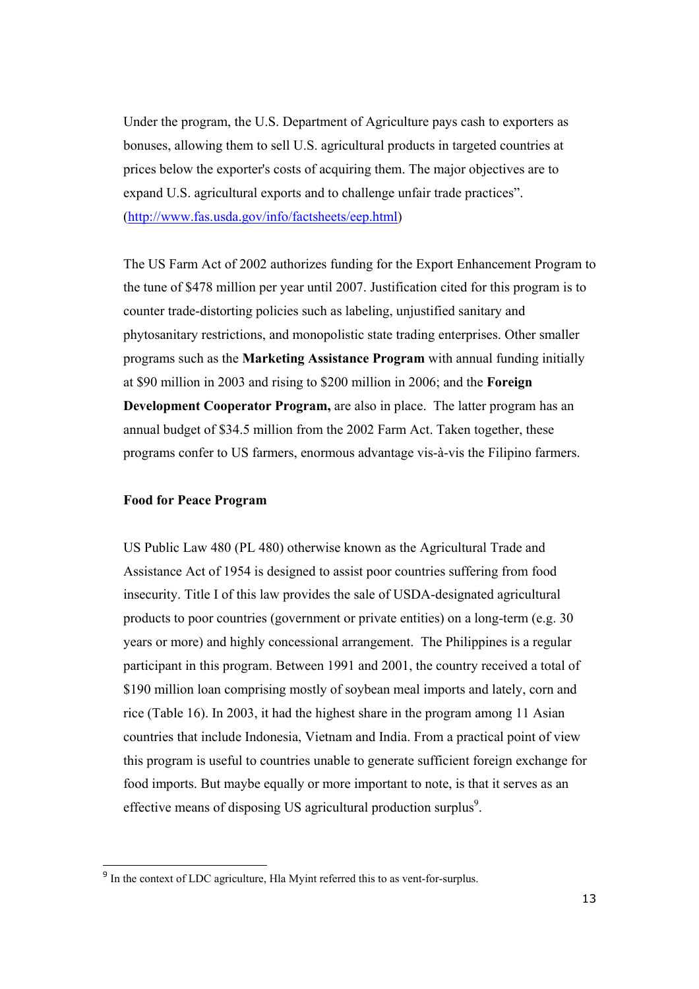Under the program, the U.S. Department of Agriculture pays cash to exporters as bonuses, allowing them to sell U.S. agricultural products in targeted countries at prices below the exporter's costs of acquiring them. The major objectives are to expand U.S. agricultural exports and to challenge unfair trade practices". (http://www.fas.usda.gov/info/factsheets/eep.html)

The US Farm Act of 2002 authorizes funding for the Export Enhancement Program to the tune of \$478 million per year until 2007. Justification cited for this program is to counter trade-distorting policies such as labeling, unjustified sanitary and phytosanitary restrictions, and monopolistic state trading enterprises. Other smaller programs such as the **Marketing Assistance Program** with annual funding initially at \$90 million in 2003 and rising to \$200 million in 2006; and the **Foreign Development Cooperator Program, are also in place. The latter program has an** annual budget of \$34.5 million from the 2002 Farm Act. Taken together, these programs confer to US farmers, enormous advantage vis-à-vis the Filipino farmers.

#### **Food for Peace Program**

US Public Law 480 (PL 480) otherwise known as the Agricultural Trade and Assistance Act of 1954 is designed to assist poor countries suffering from food insecurity. Title I of this law provides the sale of USDA-designated agricultural products to poor countries (government or private entities) on a long-term (e.g. 30 years or more) and highly concessional arrangement. The Philippines is a regular participant in this program. Between 1991 and 2001, the country received a total of \$190 million loan comprising mostly of soybean meal imports and lately, corn and rice (Table 16). In 2003, it had the highest share in the program among 11 Asian countries that include Indonesia, Vietnam and India. From a practical point of view this program is useful to countries unable to generate sufficient foreign exchange for food imports. But maybe equally or more important to note, is that it serves as an effective means of disposing US agricultural production surplus $9$ .

<sup>&</sup>lt;sup>9</sup> In the context of LDC agriculture, Hla Myint referred this to as vent-for-surplus.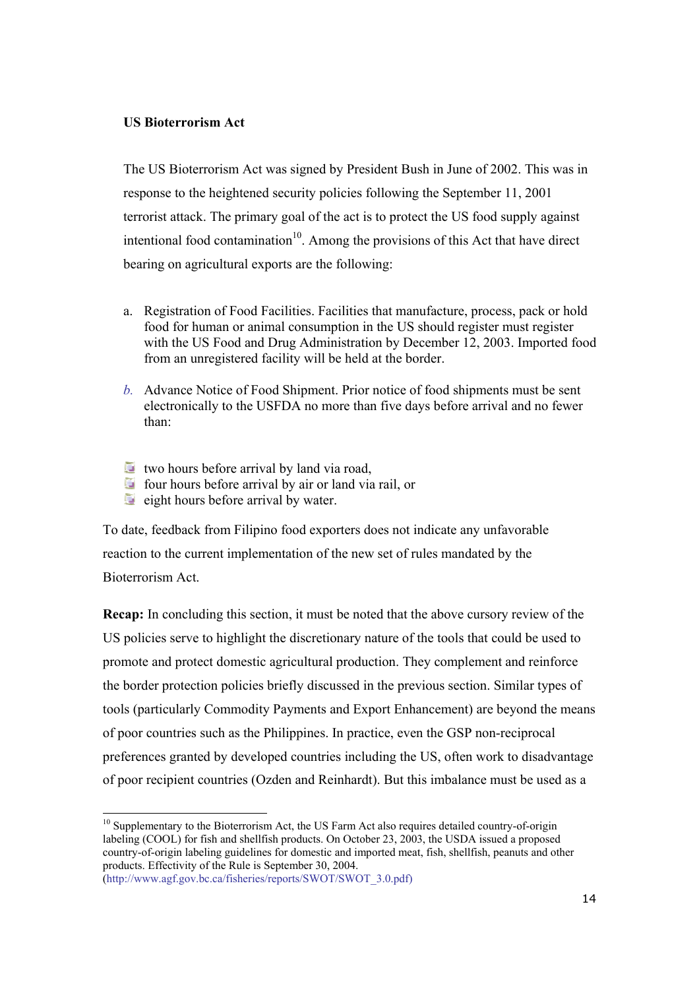### **US Bioterrorism Act**

The US Bioterrorism Act was signed by President Bush in June of 2002. This was in response to the heightened security policies following the September 11, 2001 terrorist attack. The primary goal of the act is to protect the US food supply against intentional food contamination<sup>10</sup>. Among the provisions of this Act that have direct bearing on agricultural exports are the following:

- a. Registration of Food Facilities. Facilities that manufacture, process, pack or hold food for human or animal consumption in the US should register must register with the US Food and Drug Administration by December 12, 2003. Imported food from an unregistered facility will be held at the border.
- *b.* Advance Notice of Food Shipment. Prior notice of food shipments must be sent electronically to the USFDA no more than five days before arrival and no fewer than:
- **two hours before arrival by land via road.**
- four hours before arrival by air or land via rail, or
- $\Box$  eight hours before arrival by water.

To date, feedback from Filipino food exporters does not indicate any unfavorable reaction to the current implementation of the new set of rules mandated by the Bioterrorism Act.

**Recap:** In concluding this section, it must be noted that the above cursory review of the US policies serve to highlight the discretionary nature of the tools that could be used to promote and protect domestic agricultural production. They complement and reinforce the border protection policies briefly discussed in the previous section. Similar types of tools (particularly Commodity Payments and Export Enhancement) are beyond the means of poor countries such as the Philippines. In practice, even the GSP non-reciprocal preferences granted by developed countries including the US, often work to disadvantage of poor recipient countries (Ozden and Reinhardt). But this imbalance must be used as a

<sup>&</sup>lt;sup>10</sup> Supplementary to the Bioterrorism Act, the US Farm Act also requires detailed country-of-origin labeling (COOL) for fish and shellfish products. On October 23, 2003, the USDA issued a proposed country-of-origin labeling guidelines for domestic and imported meat, fish, shellfish, peanuts and other products. Effectivity of the Rule is September 30, 2004.

<sup>(</sup>http://www.agf.gov.bc.ca/fisheries/reports/SWOT/SWOT\_3.0.pdf)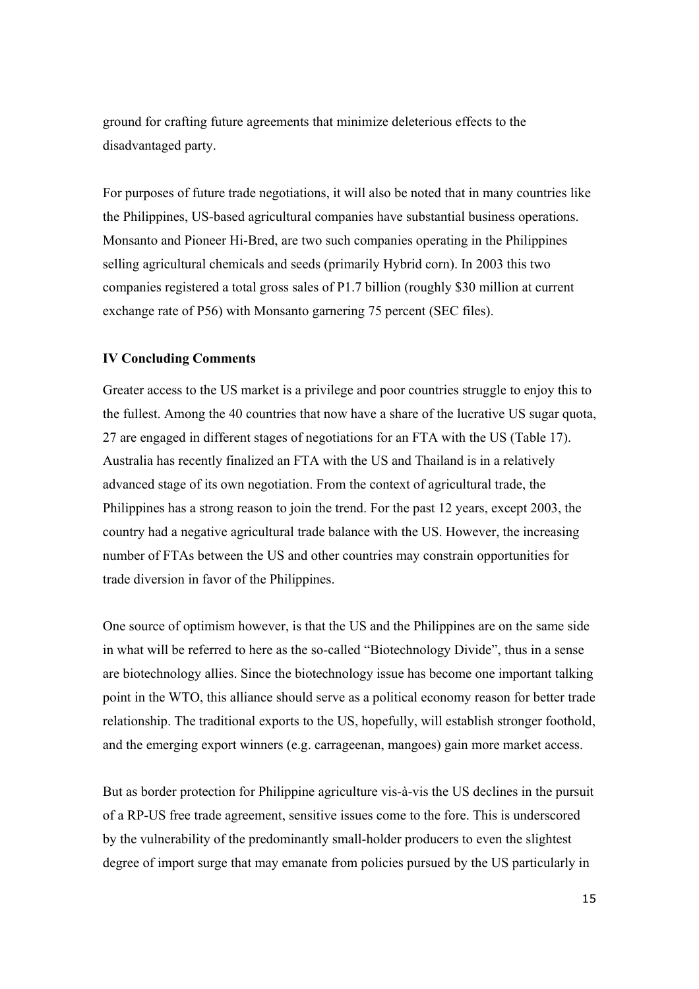ground for crafting future agreements that minimize deleterious effects to the disadvantaged party.

For purposes of future trade negotiations, it will also be noted that in many countries like the Philippines, US-based agricultural companies have substantial business operations. Monsanto and Pioneer Hi-Bred, are two such companies operating in the Philippines selling agricultural chemicals and seeds (primarily Hybrid corn). In 2003 this two companies registered a total gross sales of P1.7 billion (roughly \$30 million at current exchange rate of P56) with Monsanto garnering 75 percent (SEC files).

#### **IV Concluding Comments**

Greater access to the US market is a privilege and poor countries struggle to enjoy this to the fullest. Among the 40 countries that now have a share of the lucrative US sugar quota, 27 are engaged in different stages of negotiations for an FTA with the US (Table 17). Australia has recently finalized an FTA with the US and Thailand is in a relatively advanced stage of its own negotiation. From the context of agricultural trade, the Philippines has a strong reason to join the trend. For the past 12 years, except 2003, the country had a negative agricultural trade balance with the US. However, the increasing number of FTAs between the US and other countries may constrain opportunities for trade diversion in favor of the Philippines.

One source of optimism however, is that the US and the Philippines are on the same side in what will be referred to here as the so-called "Biotechnology Divide", thus in a sense are biotechnology allies. Since the biotechnology issue has become one important talking point in the WTO, this alliance should serve as a political economy reason for better trade relationship. The traditional exports to the US, hopefully, will establish stronger foothold, and the emerging export winners (e.g. carrageenan, mangoes) gain more market access.

But as border protection for Philippine agriculture vis-à-vis the US declines in the pursuit of a RP-US free trade agreement, sensitive issues come to the fore. This is underscored by the vulnerability of the predominantly small-holder producers to even the slightest degree of import surge that may emanate from policies pursued by the US particularly in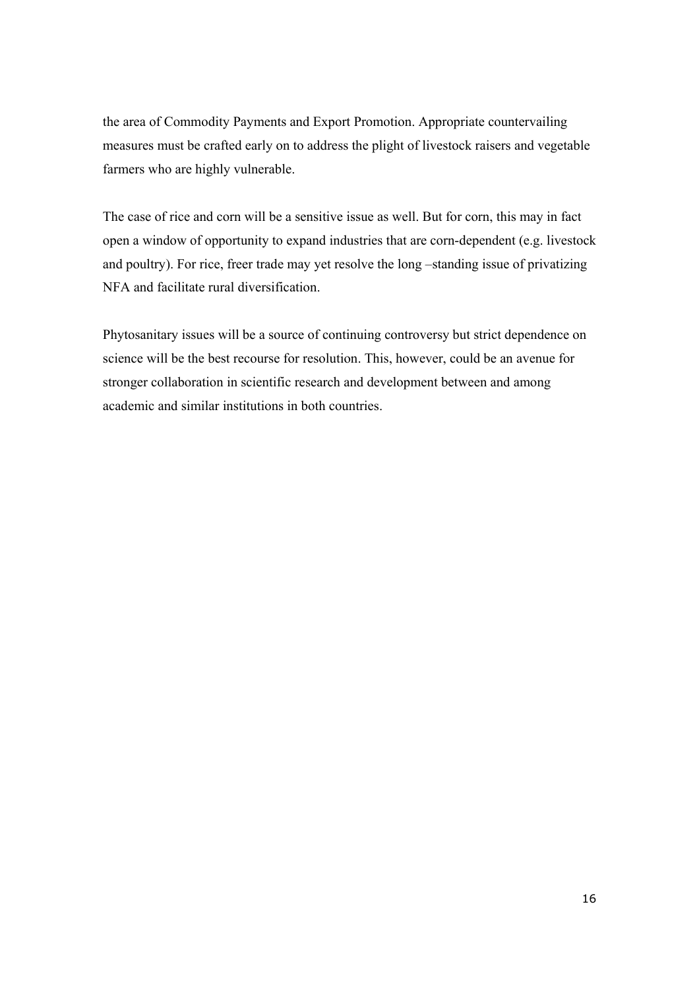the area of Commodity Payments and Export Promotion. Appropriate countervailing measures must be crafted early on to address the plight of livestock raisers and vegetable farmers who are highly vulnerable.

The case of rice and corn will be a sensitive issue as well. But for corn, this may in fact open a window of opportunity to expand industries that are corn-dependent (e.g. livestock and poultry). For rice, freer trade may yet resolve the long –standing issue of privatizing NFA and facilitate rural diversification.

Phytosanitary issues will be a source of continuing controversy but strict dependence on science will be the best recourse for resolution. This, however, could be an avenue for stronger collaboration in scientific research and development between and among academic and similar institutions in both countries.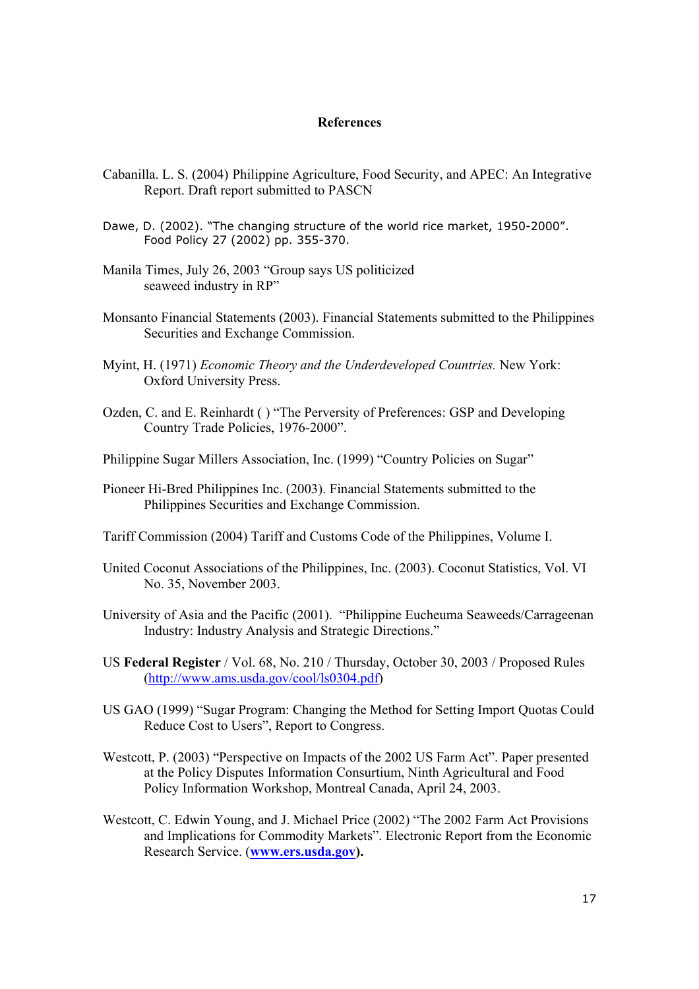#### **References**

- Cabanilla. L. S. (2004) Philippine Agriculture, Food Security, and APEC: An Integrative Report. Draft report submitted to PASCN
- Dawe, D. (2002). "The changing structure of the world rice market, 1950-2000". Food Policy 27 (2002) pp. 355-370.
- Manila Times, July 26, 2003 "Group says US politicized seaweed industry in RP"
- Monsanto Financial Statements (2003). Financial Statements submitted to the Philippines Securities and Exchange Commission.
- Myint, H. (1971) *Economic Theory and the Underdeveloped Countries.* New York: Oxford University Press.
- Ozden, C. and E. Reinhardt ( ) "The Perversity of Preferences: GSP and Developing Country Trade Policies, 1976-2000".
- Philippine Sugar Millers Association, Inc. (1999) "Country Policies on Sugar"
- Pioneer Hi-Bred Philippines Inc. (2003). Financial Statements submitted to the Philippines Securities and Exchange Commission.
- Tariff Commission (2004) Tariff and Customs Code of the Philippines, Volume I.
- United Coconut Associations of the Philippines, Inc. (2003). Coconut Statistics, Vol. VI No. 35, November 2003.
- University of Asia and the Pacific (2001). "Philippine Eucheuma Seaweeds/Carrageenan Industry: Industry Analysis and Strategic Directions."
- US **Federal Register** / Vol. 68, No. 210 / Thursday, October 30, 2003 / Proposed Rules (http://www.ams.usda.gov/cool/ls0304.pdf)
- US GAO (1999) "Sugar Program: Changing the Method for Setting Import Quotas Could Reduce Cost to Users", Report to Congress.
- Westcott, P. (2003) "Perspective on Impacts of the 2002 US Farm Act". Paper presented at the Policy Disputes Information Consurtium, Ninth Agricultural and Food Policy Information Workshop, Montreal Canada, April 24, 2003.
- Westcott, C. Edwin Young, and J. Michael Price (2002) "The 2002 Farm Act Provisions and Implications for Commodity Markets". Electronic Report from the Economic Research Service. (**www.ers.usda.gov).**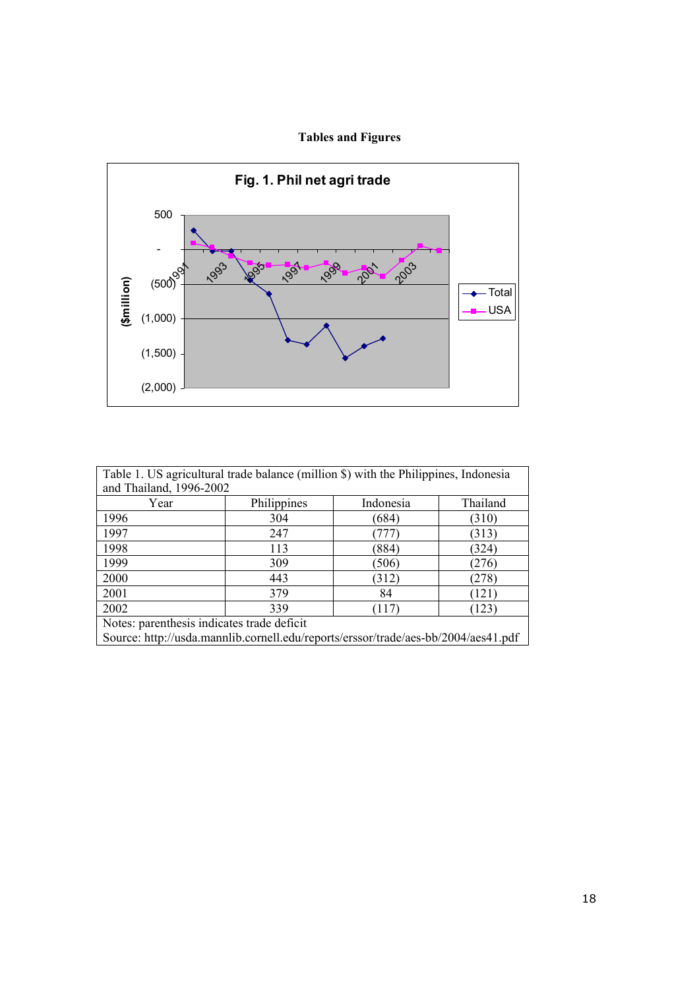# **Tables and Figures**



| Table 1. US agricultural trade balance (million \$) with the Philippines, Indonesia |                         |           |          |  |  |  |  |  |
|-------------------------------------------------------------------------------------|-------------------------|-----------|----------|--|--|--|--|--|
|                                                                                     | and Thailand, 1996-2002 |           |          |  |  |  |  |  |
| Year                                                                                | Philippines             | Indonesia | Thailand |  |  |  |  |  |
| 1996                                                                                | 304                     | (684)     | (310)    |  |  |  |  |  |
| 1997                                                                                | 247                     | 777       | (313)    |  |  |  |  |  |
| 1998                                                                                | 113                     | (884)     | (324)    |  |  |  |  |  |
| 1999                                                                                | 309                     | (506)     | (276)    |  |  |  |  |  |
| 2000                                                                                | 443                     | (312)     | (278)    |  |  |  |  |  |
| 2001                                                                                | 379                     | 84        | (121)    |  |  |  |  |  |
| 2002                                                                                | 339                     | (117)     | (123)    |  |  |  |  |  |
| Notes: parenthesis indicates trade deficit                                          |                         |           |          |  |  |  |  |  |
| Source: http://usda.mannlib.cornell.edu/reports/erssor/trade/aes-bb/2004/aes41.pdf  |                         |           |          |  |  |  |  |  |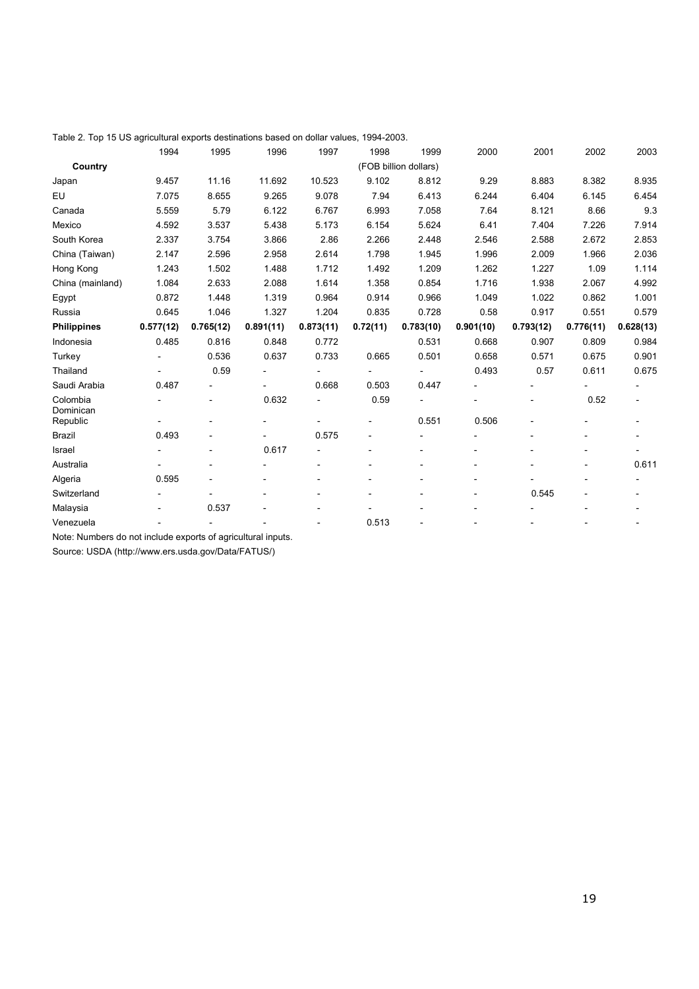|  |  | Table 2. Top 15 US agricultural exports destinations based on dollar values, 1994-2003. |  |  |
|--|--|-----------------------------------------------------------------------------------------|--|--|
|  |  |                                                                                         |  |  |

|                       | 1994      | 1995                     | 1996      | 1997      | 1998     | 1999                     | 2000      | 2001           | 2002      | 2003                     |
|-----------------------|-----------|--------------------------|-----------|-----------|----------|--------------------------|-----------|----------------|-----------|--------------------------|
| Country               |           |                          |           |           |          | (FOB billion dollars)    |           |                |           |                          |
| Japan                 | 9.457     | 11.16                    | 11.692    | 10.523    | 9.102    | 8.812                    | 9.29      | 8.883          | 8.382     | 8.935                    |
| EU                    | 7.075     | 8.655                    | 9.265     | 9.078     | 7.94     | 6.413                    | 6.244     | 6.404          | 6.145     | 6.454                    |
| Canada                | 5.559     | 5.79                     | 6.122     | 6.767     | 6.993    | 7.058                    | 7.64      | 8.121          | 8.66      | 9.3                      |
| Mexico                | 4.592     | 3.537                    | 5.438     | 5.173     | 6.154    | 5.624                    | 6.41      | 7.404          | 7.226     | 7.914                    |
| South Korea           | 2.337     | 3.754                    | 3.866     | 2.86      | 2.266    | 2.448                    | 2.546     | 2.588          | 2.672     | 2.853                    |
| China (Taiwan)        | 2.147     | 2.596                    | 2.958     | 2.614     | 1.798    | 1.945                    | 1.996     | 2.009          | 1.966     | 2.036                    |
| Hong Kong             | 1.243     | 1.502                    | 1.488     | 1.712     | 1.492    | 1.209                    | 1.262     | 1.227          | 1.09      | 1.114                    |
| China (mainland)      | 1.084     | 2.633                    | 2.088     | 1.614     | 1.358    | 0.854                    | 1.716     | 1.938          | 2.067     | 4.992                    |
| Egypt                 | 0.872     | 1.448                    | 1.319     | 0.964     | 0.914    | 0.966                    | 1.049     | 1.022          | 0.862     | 1.001                    |
| Russia                | 0.645     | 1.046                    | 1.327     | 1.204     | 0.835    | 0.728                    | 0.58      | 0.917          | 0.551     | 0.579                    |
| <b>Philippines</b>    | 0.577(12) | 0.765(12)                | 0.891(11) | 0.873(11) | 0.72(11) | 0.783(10)                | 0.901(10) | 0.793(12)      | 0.776(11) | 0.628(13)                |
| Indonesia             | 0.485     | 0.816                    | 0.848     | 0.772     |          | 0.531                    | 0.668     | 0.907          | 0.809     | 0.984                    |
| Turkey                |           | 0.536                    | 0.637     | 0.733     | 0.665    | 0.501                    | 0.658     | 0.571          | 0.675     | 0.901                    |
| Thailand              |           | 0.59                     |           |           |          |                          | 0.493     | 0.57           | 0.611     | 0.675                    |
| Saudi Arabia          | 0.487     |                          |           | 0.668     | 0.503    | 0.447                    |           |                |           |                          |
| Colombia<br>Dominican |           | $\overline{\phantom{a}}$ | 0.632     |           | 0.59     |                          |           | $\overline{a}$ | 0.52      | $\overline{\phantom{a}}$ |
| Republic              |           |                          |           |           |          | 0.551                    | 0.506     |                |           |                          |
| <b>Brazil</b>         | 0.493     |                          |           | 0.575     | ٠        | $\overline{\phantom{a}}$ |           |                | -         | $\overline{\phantom{a}}$ |
| Israel                |           |                          | 0.617     |           |          |                          |           |                |           |                          |
| Australia             |           |                          |           |           |          |                          |           |                |           | 0.611                    |
| Algeria               | 0.595     |                          |           |           |          |                          |           |                |           |                          |
| Switzerland           |           |                          |           |           |          |                          |           | 0.545          |           |                          |
| Malaysia              |           | 0.537                    |           |           | ٠        |                          |           |                |           |                          |
| Venezuela             |           |                          |           |           | 0.513    |                          |           |                |           |                          |

Note: Numbers do not include exports of agricultural inputs.

Source: USDA (http://www.ers.usda.gov/Data/FATUS/)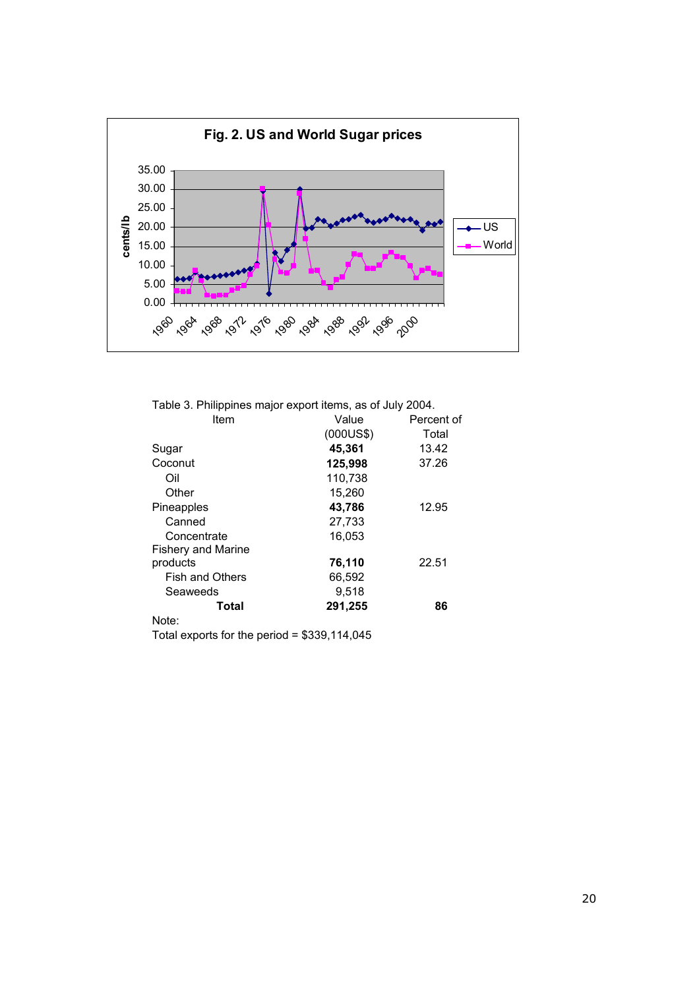

|  |  | Table 3. Philippines major export items, as of July 2004. |  |
|--|--|-----------------------------------------------------------|--|
|  |  |                                                           |  |

| Item                      | Value     | Percent of |
|---------------------------|-----------|------------|
|                           | (000US\$) | Total      |
| Sugar                     | 45,361    | 13.42      |
| Coconut                   | 125,998   | 37.26      |
| Oil                       | 110,738   |            |
| Other                     | 15,260    |            |
| Pineapples                | 43,786    | 12.95      |
| Canned                    | 27,733    |            |
| Concentrate               | 16.053    |            |
| <b>Fishery and Marine</b> |           |            |
| products                  | 76,110    | 22.51      |
| <b>Fish and Others</b>    | 66,592    |            |
| Seaweeds                  | 9,518     |            |
| Total                     | 291,255   | 86         |
| Note:                     |           |            |

Total exports for the period = \$339,114,045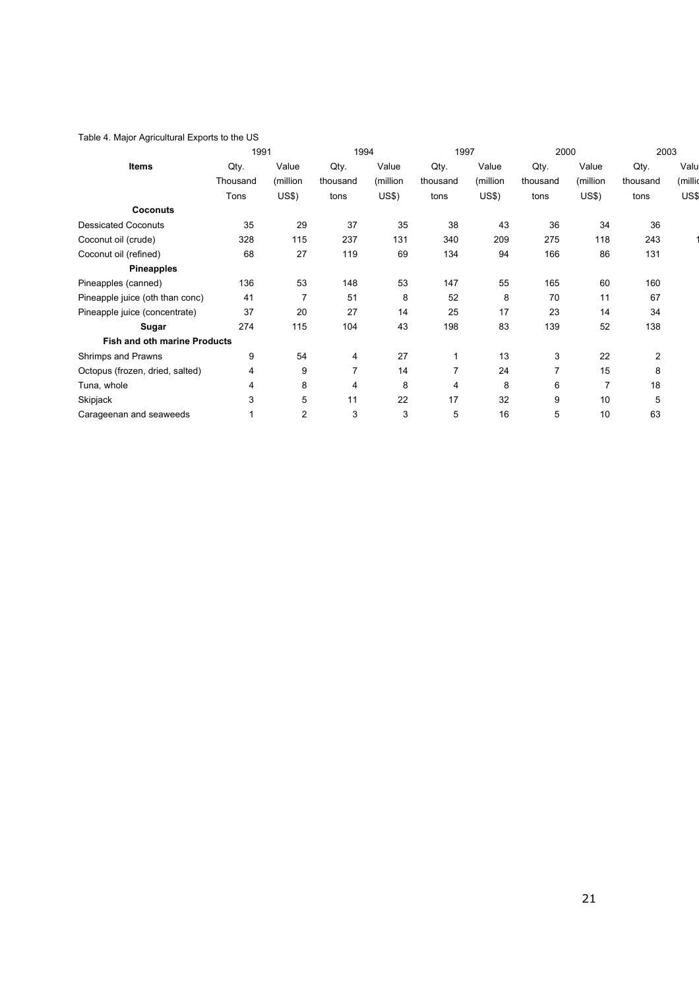#### Table 4. Major Agricultural Exports to the US

|                                     | 1991     |                | 1994           |              | 1997     |              |          | 2000         |          | 2003    |
|-------------------------------------|----------|----------------|----------------|--------------|----------|--------------|----------|--------------|----------|---------|
| Items                               | Qty.     | Value          | Qty.           | Value        | Qty.     | Value        | Qty.     | Value        | Qty.     | Valu    |
|                                     | Thousand | (million       | thousand       | (million     | thousand | (million     | thousand | (million     | thousand | (millic |
|                                     | Tons     | <b>US\$)</b>   | tons           | <b>US\$)</b> | tons     | <b>US\$)</b> | tons     | <b>US\$)</b> | tons     | US\$    |
| <b>Coconuts</b>                     |          |                |                |              |          |              |          |              |          |         |
| <b>Dessicated Coconuts</b>          | 35       | 29             | 37             | 35           | 38       | 43           | 36       | 34           | 36       |         |
| Coconut oil (crude)                 | 328      | 115            | 237            | 131          | 340      | 209          | 275      | 118          | 243      |         |
| Coconut oil (refined)               | 68       | 27             | 119            | 69           | 134      | 94           | 166      | 86           | 131      |         |
| <b>Pineapples</b>                   |          |                |                |              |          |              |          |              |          |         |
| Pineapples (canned)                 | 136      | 53             | 148            | 53           | 147      | 55           | 165      | 60           | 160      |         |
| Pineapple juice (oth than conc)     | 41       | $\overline{7}$ | 51             | 8            | 52       | 8            | 70       | 11           | 67       |         |
| Pineapple juice (concentrate)       | 37       | 20             | 27             | 14           | 25       | 17           | 23       | 14           | 34       |         |
| Sugar                               | 274      | 115            | 104            | 43           | 198      | 83           | 139      | 52           | 138      |         |
| <b>Fish and oth marine Products</b> |          |                |                |              |          |              |          |              |          |         |
| Shrimps and Prawns                  | 9        | 54             | 4              | 27           | 1        | 13           | 3        | 22           | 2        |         |
| Octopus (frozen, dried, salted)     | 4        | 9              | $\overline{7}$ | 14           | 7        | 24           | 7        | 15           | 8        |         |
| Tuna, whole                         | 4        | 8              | 4              | 8            | 4        | 8            | 6        | 7            | 18       |         |
| Skipjack                            | 3        | 5              | 11             | 22           | 17       | 32           | 9        | 10           | 5        |         |
| Carageenan and seaweeds             |          | $\overline{2}$ | 3              | 3            | 5        | 16           | 5        | 10           | 63       |         |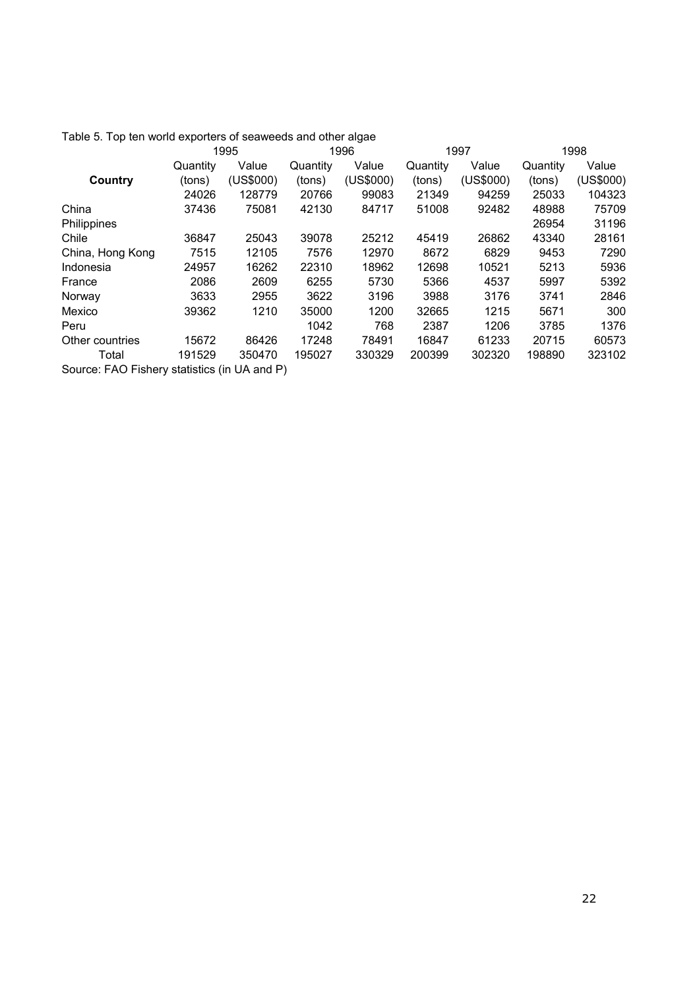|                                              |          | 1995      | 1996     |           | 1997     |           | 1998     |           |
|----------------------------------------------|----------|-----------|----------|-----------|----------|-----------|----------|-----------|
|                                              | Quantity | Value     | Quantity | Value     | Quantity | Value     | Quantity | Value     |
| Country                                      | (tons)   | (US\$000) | (tons)   | (US\$000) | (tons)   | (US\$000) | (tons)   | (US\$000) |
|                                              | 24026    | 128779    | 20766    | 99083     | 21349    | 94259     | 25033    | 104323    |
| China                                        | 37436    | 75081     | 42130    | 84717     | 51008    | 92482     | 48988    | 75709     |
| Philippines                                  |          |           |          |           |          |           | 26954    | 31196     |
| Chile                                        | 36847    | 25043     | 39078    | 25212     | 45419    | 26862     | 43340    | 28161     |
| China, Hong Kong                             | 7515     | 12105     | 7576     | 12970     | 8672     | 6829      | 9453     | 7290      |
| Indonesia                                    | 24957    | 16262     | 22310    | 18962     | 12698    | 10521     | 5213     | 5936      |
| France                                       | 2086     | 2609      | 6255     | 5730      | 5366     | 4537      | 5997     | 5392      |
| Norway                                       | 3633     | 2955      | 3622     | 3196      | 3988     | 3176      | 3741     | 2846      |
| Mexico                                       | 39362    | 1210      | 35000    | 1200      | 32665    | 1215      | 5671     | 300       |
| Peru                                         |          |           | 1042     | 768       | 2387     | 1206      | 3785     | 1376      |
| Other countries                              | 15672    | 86426     | 17248    | 78491     | 16847    | 61233     | 20715    | 60573     |
| Total                                        | 191529   | 350470    | 195027   | 330329    | 200399   | 302320    | 198890   | 323102    |
| Source: FAO Fishery statistics (in UA and P) |          |           |          |           |          |           |          |           |

Table 5. Top ten world exporters of seaweeds and other algae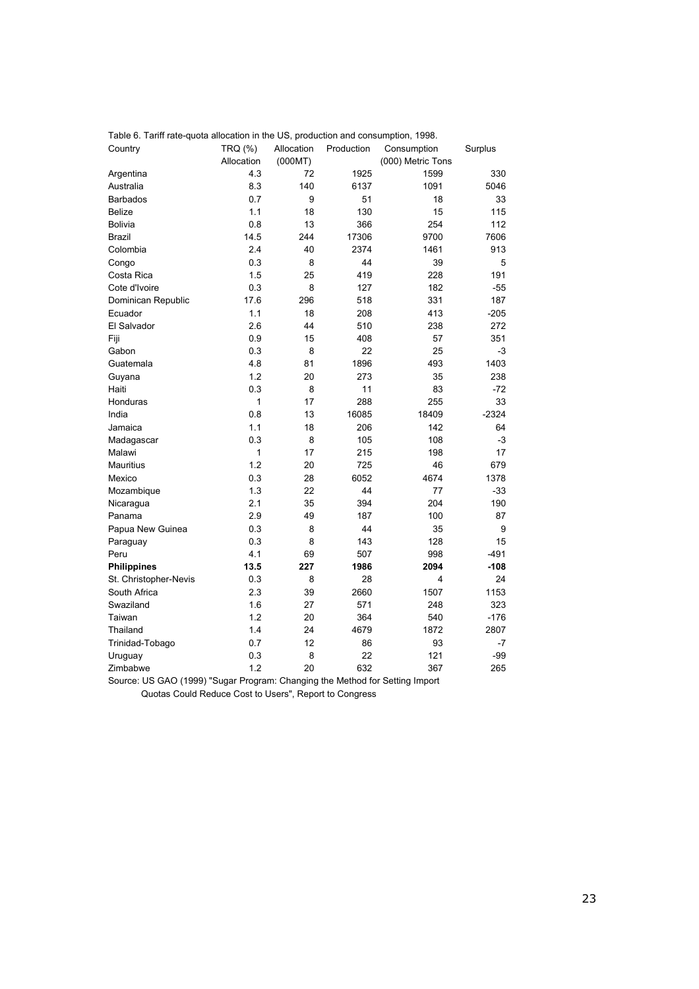| Table 6. Tariff rate-quota allocation in the US, production and consumption, 1998. |              |            |            |                   |         |
|------------------------------------------------------------------------------------|--------------|------------|------------|-------------------|---------|
| Country                                                                            | TRQ (%)      | Allocation | Production | Consumption       | Surplus |
|                                                                                    | Allocation   | (000MT)    |            | (000) Metric Tons |         |
| Argentina                                                                          | 4.3          | 72         | 1925       | 1599              | 330     |
| Australia                                                                          | 8.3          | 140        | 6137       | 1091              | 5046    |
| <b>Barbados</b>                                                                    | 0.7          | 9          | 51         | 18                | 33      |
| <b>Belize</b>                                                                      | 1.1          | 18         | 130        | 15                | 115     |
| <b>Bolivia</b>                                                                     | 0.8          | 13         | 366        | 254               | 112     |
| <b>Brazil</b>                                                                      | 14.5         | 244        | 17306      | 9700              | 7606    |
| Colombia                                                                           | 2.4          | 40         | 2374       | 1461              | 913     |
| Congo                                                                              | 0.3          | 8          | 44         | 39                | 5       |
| Costa Rica                                                                         | 1.5          | 25         | 419        | 228               | 191     |
| Cote d'Ivoire                                                                      | 0.3          | 8          | 127        | 182               | $-55$   |
| Dominican Republic                                                                 | 17.6         | 296        | 518        | 331               | 187     |
| Ecuador                                                                            | 1.1          | 18         | 208        | 413               | $-205$  |
| El Salvador                                                                        | 2.6          | 44         | 510        | 238               | 272     |
| Fiji                                                                               | 0.9          | 15         | 408        | 57                | 351     |
| Gabon                                                                              | 0.3          | 8          | 22         | 25                | -3      |
| Guatemala                                                                          | 4.8          | 81         | 1896       | 493               | 1403    |
| Guyana                                                                             | 1.2          | 20         | 273        | 35                | 238     |
| Haiti                                                                              | 0.3          | 8          | 11         | 83                | $-72$   |
| Honduras                                                                           | $\mathbf{1}$ | 17         | 288        | 255               | 33      |
| India                                                                              | 0.8          | 13         | 16085      | 18409             | $-2324$ |
| Jamaica                                                                            | 1.1          | 18         | 206        | 142               | 64      |
| Madagascar                                                                         | 0.3          | 8          | 105        | 108               | -3      |
| Malawi                                                                             | 1            | 17         | 215        | 198               | 17      |
| <b>Mauritius</b>                                                                   | 1.2          | 20         | 725        | 46                | 679     |
| Mexico                                                                             | 0.3          | 28         | 6052       | 4674              | 1378    |
| Mozambique                                                                         | 1.3          | 22         | 44         | 77                | $-33$   |
| Nicaragua                                                                          | 2.1          | 35         | 394        | 204               | 190     |
| Panama                                                                             | 2.9          | 49         | 187        | 100               | 87      |
| Papua New Guinea                                                                   | 0.3          | 8          | 44         | 35                | 9       |
| Paraguay                                                                           | 0.3          | 8          | 143        | 128               | 15      |
| Peru                                                                               | 4.1          | 69         | 507        | 998               | $-491$  |
| <b>Philippines</b>                                                                 | 13.5         | 227        | 1986       | 2094              | $-108$  |
| St. Christopher-Nevis                                                              | 0.3          | 8          | 28         | 4                 | 24      |
| South Africa                                                                       | 2.3          | 39         | 2660       | 1507              | 1153    |
| Swaziland                                                                          | 1.6          | 27         | 571        | 248               | 323     |
| Taiwan                                                                             | 1.2          | 20         | 364        | 540               | $-176$  |
| Thailand                                                                           | 1.4          | 24         | 4679       | 1872              | 2807    |
| Trinidad-Tobago                                                                    | 0.7          | 12         | 86         | 93                | $-7$    |
| Uruguay                                                                            | 0.3          | 8          | 22         | 121               | -99     |
| Zimbabwe                                                                           | 1.2          | 20         | 632        | 367               | 265     |

Table 6. Tariff rate-quota allocation in the US, production and consumption, 1998.

Source: US GAO (1999) "Sugar Program: Changing the Method for Setting Import Quotas Could Reduce Cost to Users", Report to Congress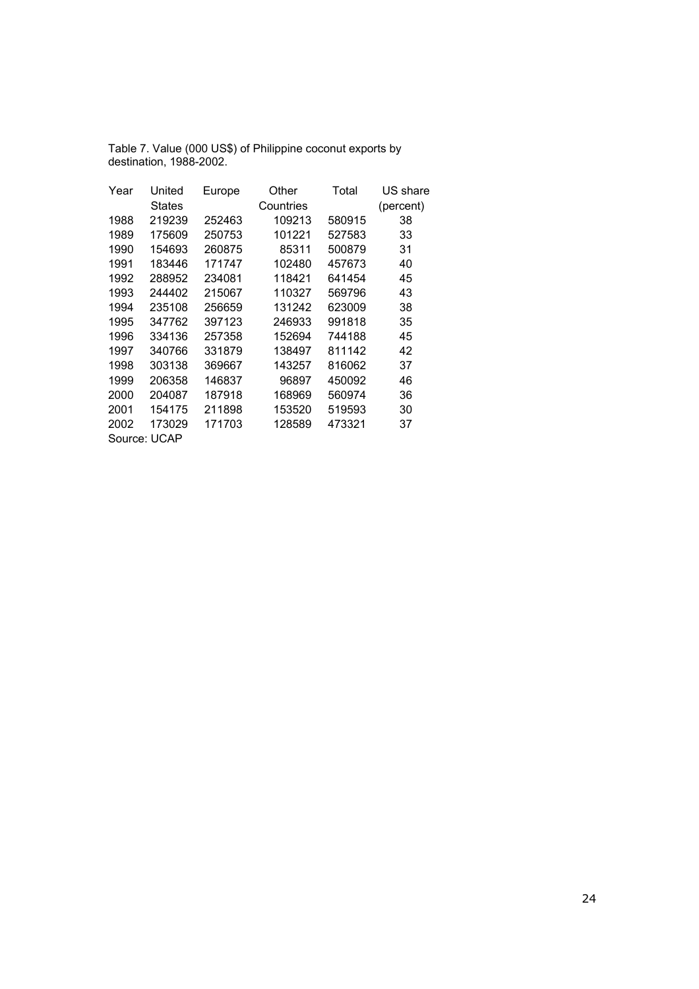| Table 7. Value (000 US\$) of Philippine coconut exports by |
|------------------------------------------------------------|
| destination, 1988-2002.                                    |

| Year         | United        | Europe | Other     | Total  | US share  |
|--------------|---------------|--------|-----------|--------|-----------|
|              | <b>States</b> |        | Countries |        | (percent) |
| 1988         | 219239        | 252463 | 109213    | 580915 | 38        |
| 1989         | 175609        | 250753 | 101221    | 527583 | 33        |
| 1990         | 154693        | 260875 | 85311     | 500879 | 31        |
| 1991         | 183446        | 171747 | 102480    | 457673 | 40        |
| 1992         | 288952        | 234081 | 118421    | 641454 | 45        |
| 1993         | 244402        | 215067 | 110327    | 569796 | 43        |
| 1994         | 235108        | 256659 | 131242    | 623009 | 38        |
| 1995         | 347762        | 397123 | 246933    | 991818 | 35        |
| 1996         | 334136        | 257358 | 152694    | 744188 | 45        |
| 1997         | 340766        | 331879 | 138497    | 811142 | 42        |
| 1998         | 303138        | 369667 | 143257    | 816062 | 37        |
| 1999         | 206358        | 146837 | 96897     | 450092 | 46        |
| 2000         | 204087        | 187918 | 168969    | 560974 | 36        |
| 2001         | 154175        | 211898 | 153520    | 519593 | 30        |
| 2002         | 173029        | 171703 | 128589    | 473321 | 37        |
| Source: UCAP |               |        |           |        |           |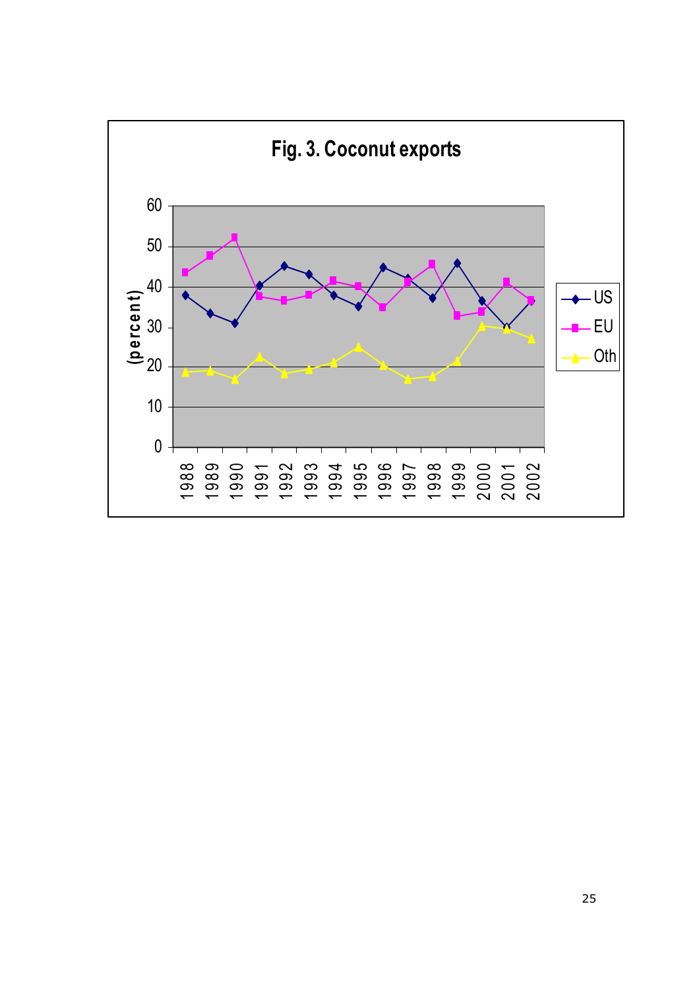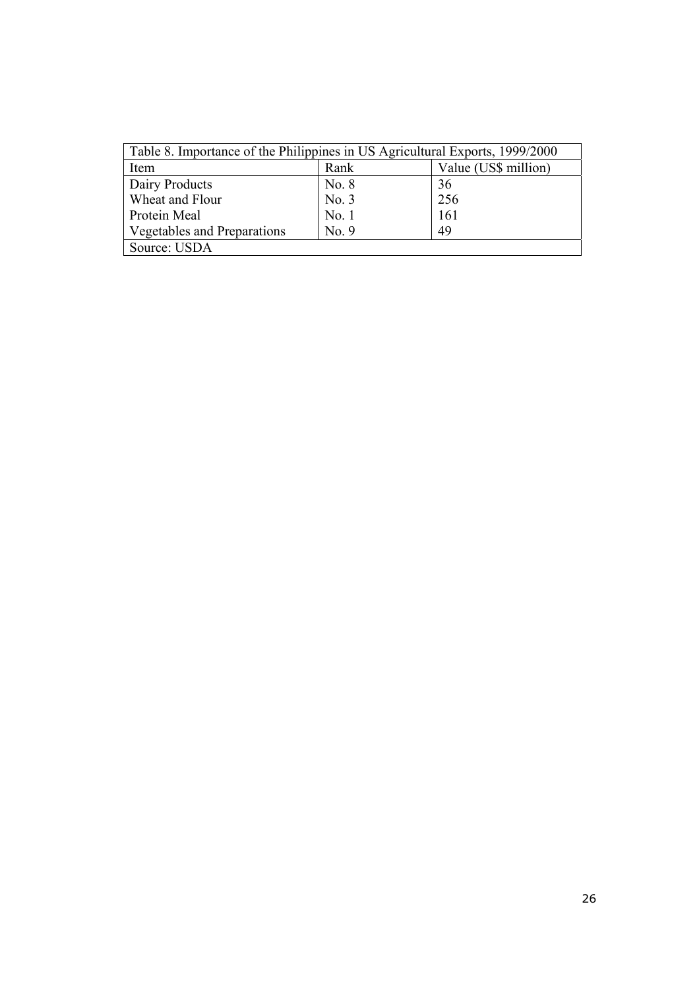| Table 8. Importance of the Philippines in US Agricultural Exports, 1999/2000 |       |                      |  |  |  |
|------------------------------------------------------------------------------|-------|----------------------|--|--|--|
| Item                                                                         | Rank  | Value (US\$ million) |  |  |  |
| Dairy Products                                                               | No. 8 | 36                   |  |  |  |
| Wheat and Flour                                                              | No. 3 | 256                  |  |  |  |
| Protein Meal                                                                 | No.1  | 161                  |  |  |  |
| <b>Vegetables and Preparations</b>                                           | No. 9 | 49                   |  |  |  |
| Source: USDA                                                                 |       |                      |  |  |  |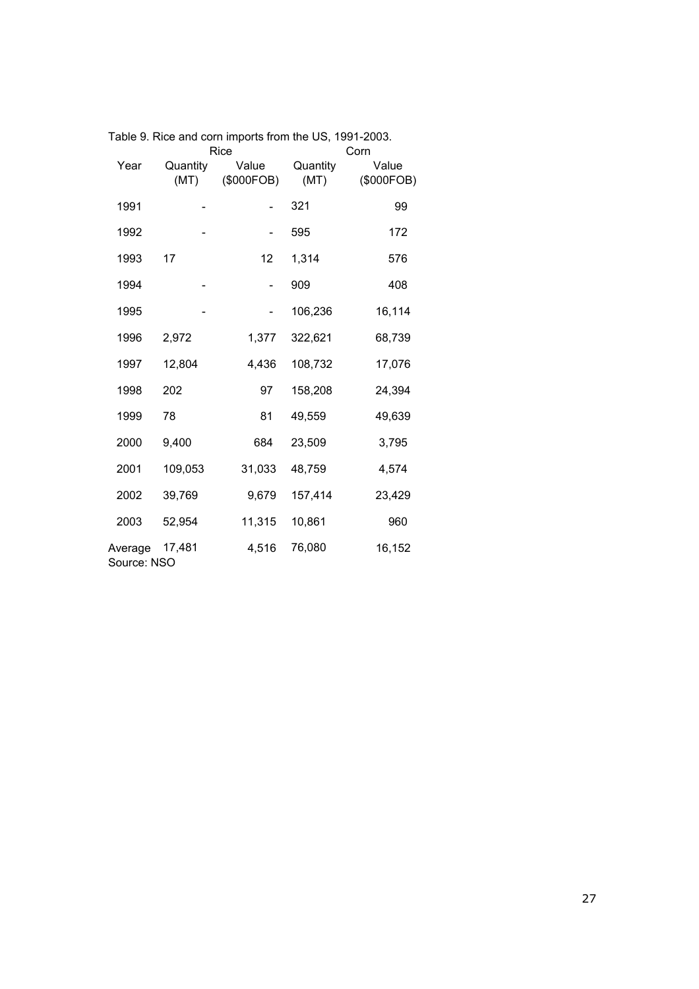|                        |                  | Rice                |                  | Corn                |
|------------------------|------------------|---------------------|------------------|---------------------|
| Year                   | Quantity<br>(MT) | Value<br>(\$000FOB) | Quantity<br>(MT) | Value<br>(\$000FOB) |
| 1991                   |                  |                     | 321              | 99                  |
| 1992                   |                  |                     | 595              | 172                 |
| 1993                   | 17               | 12                  | 1,314            | 576                 |
| 1994                   |                  |                     | 909              | 408                 |
| 1995                   |                  |                     | 106,236          | 16,114              |
| 1996                   | 2,972            | 1,377               | 322,621          | 68,739              |
| 1997                   | 12,804           | 4,436               | 108,732          | 17,076              |
| 1998                   | 202              | 97                  | 158,208          | 24,394              |
| 1999                   | 78               | 81                  | 49,559           | 49,639              |
| 2000                   | 9,400            | 684                 | 23,509           | 3,795               |
| 2001                   | 109,053          | 31,033              | 48,759           | 4,574               |
| 2002                   | 39,769           | 9,679               | 157,414          | 23,429              |
| 2003                   | 52,954           | 11,315              | 10,861           | 960                 |
| Average<br>Source: NSO | 17,481           | 4,516               | 76,080           | 16,152              |

Table 9. Rice and corn imports from the US, 1991-2003.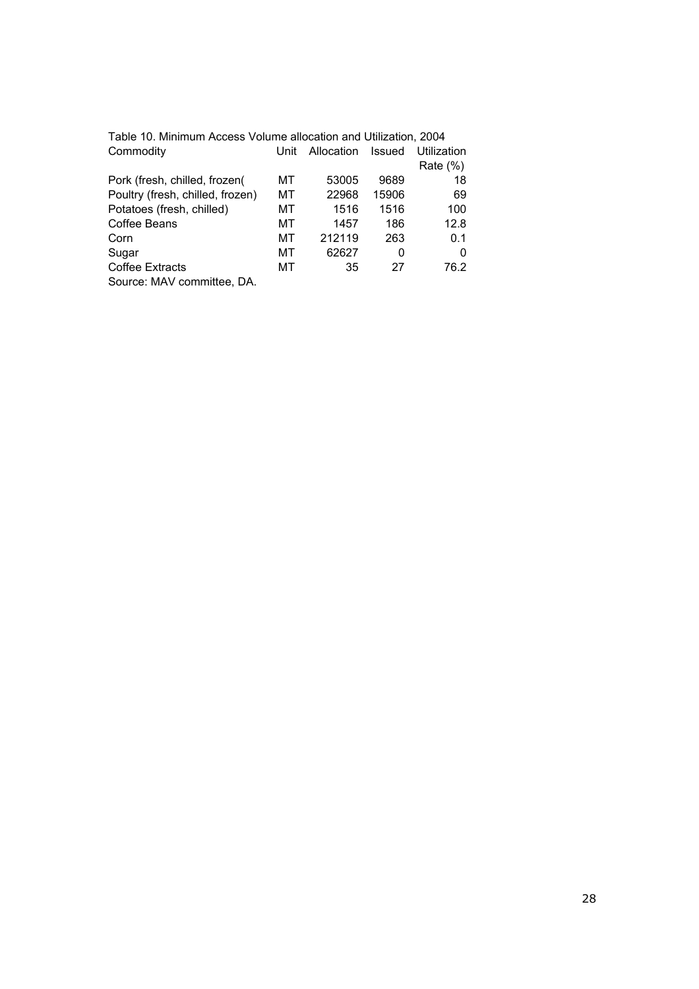| Table 10. Minimum Access Volume allocation and Utilization, 2004 |      |            |               |             |
|------------------------------------------------------------------|------|------------|---------------|-------------|
| Commodity                                                        | Unit | Allocation | <b>Issued</b> | Utilization |
|                                                                  |      |            |               | Rate $(\%)$ |
| Pork (fresh, chilled, frozen(                                    | мт   | 53005      | 9689          | 18          |
| Poultry (fresh, chilled, frozen)                                 | мт   | 22968      | 15906         | 69          |
| Potatoes (fresh, chilled)                                        | МT   | 1516       | 1516          | 100         |
| Coffee Beans                                                     | МT   | 1457       | 186           | 12.8        |
| Corn                                                             | МT   | 212119     | 263           | 0.1         |
| Sugar                                                            | MТ   | 62627      | 0             | O           |
| <b>Coffee Extracts</b>                                           | МT   | 35         | 27            | 76.2        |
| Source: MAV committee, DA.                                       |      |            |               |             |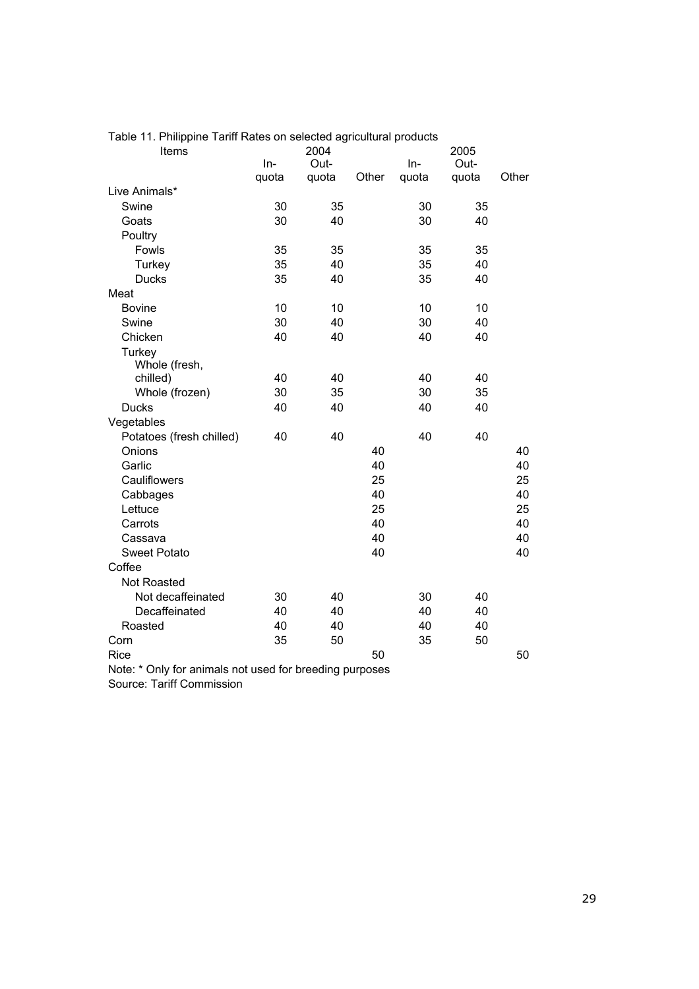| The important ratio ratio of solocida agricultural pr<br>Items |       | 2004  |       |       | 2005  |       |
|----------------------------------------------------------------|-------|-------|-------|-------|-------|-------|
|                                                                | $In-$ | Out-  |       | $In-$ | Out-  |       |
|                                                                | quota | quota | Other | quota | quota | Other |
| Live Animals*                                                  |       |       |       |       |       |       |
| Swine                                                          | 30    | 35    |       | 30    | 35    |       |
| Goats                                                          | 30    | 40    |       | 30    | 40    |       |
| Poultry                                                        |       |       |       |       |       |       |
| Fowls                                                          | 35    | 35    |       | 35    | 35    |       |
| Turkey                                                         | 35    | 40    |       | 35    | 40    |       |
| <b>Ducks</b>                                                   | 35    | 40    |       | 35    | 40    |       |
| Meat                                                           |       |       |       |       |       |       |
| <b>Bovine</b>                                                  | 10    | 10    |       | 10    | 10    |       |
| Swine                                                          | 30    | 40    |       | 30    | 40    |       |
| Chicken                                                        | 40    | 40    |       | 40    | 40    |       |
| Turkey                                                         |       |       |       |       |       |       |
| Whole (fresh,                                                  |       |       |       |       |       |       |
| chilled)                                                       | 40    | 40    |       | 40    | 40    |       |
| Whole (frozen)                                                 | 30    | 35    |       | 30    | 35    |       |
| <b>Ducks</b>                                                   | 40    | 40    |       | 40    | 40    |       |
| Vegetables                                                     |       |       |       |       |       |       |
| Potatoes (fresh chilled)                                       | 40    | 40    |       | 40    | 40    |       |
| Onions                                                         |       |       | 40    |       |       | 40    |
| Garlic                                                         |       |       | 40    |       |       | 40    |
| Cauliflowers                                                   |       |       | 25    |       |       | 25    |
| Cabbages                                                       |       |       | 40    |       |       | 40    |
| Lettuce                                                        |       |       | 25    |       |       | 25    |
| Carrots                                                        |       |       | 40    |       |       | 40    |
| Cassava                                                        |       |       | 40    |       |       | 40    |
| <b>Sweet Potato</b>                                            |       |       | 40    |       |       | 40    |
| Coffee                                                         |       |       |       |       |       |       |
| <b>Not Roasted</b>                                             |       |       |       |       |       |       |
| Not decaffeinated                                              | 30    | 40    |       | 30    | 40    |       |
| Decaffeinated                                                  | 40    | 40    |       | 40    | 40    |       |
| Roasted                                                        | 40    | 40    |       | 40    | 40    |       |
| Corn                                                           | 35    | 50    |       | 35    | 50    |       |
| Rice                                                           |       |       | 50    |       |       | 50    |

Table 11. Philippine Tariff Rates on selected agricultural products

Note: \* Only for animals not used for breeding purposes

Source: Tariff Commission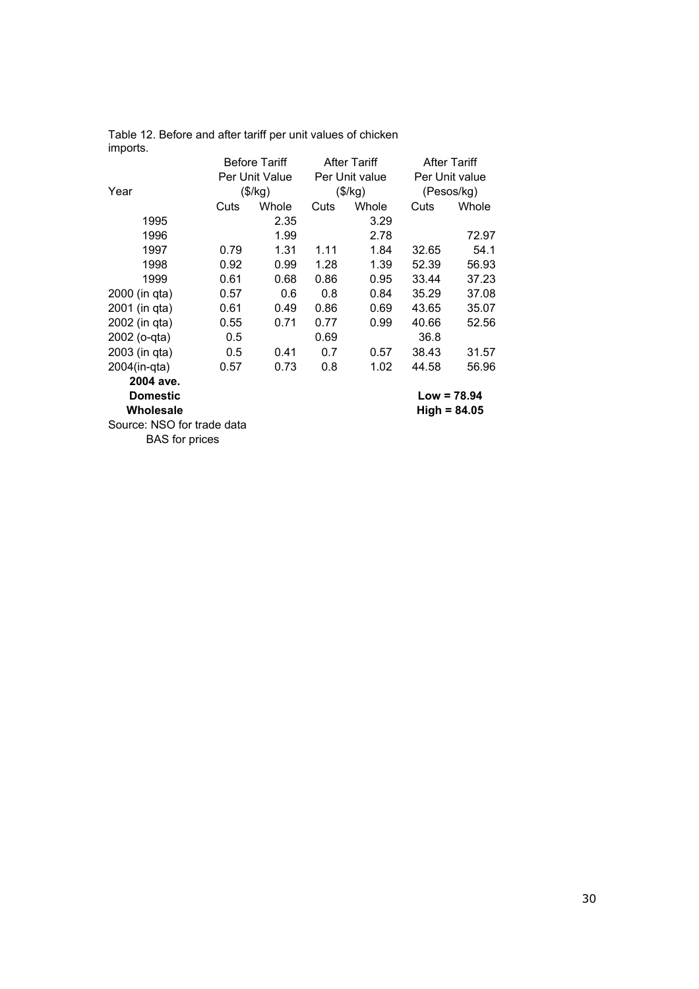| ππροπισ.                   |      |                      |      |                     |       |                     |
|----------------------------|------|----------------------|------|---------------------|-------|---------------------|
|                            |      | <b>Before Tariff</b> |      | <b>After Tariff</b> |       | <b>After Tariff</b> |
|                            |      | Per Unit Value       |      | Per Unit value      |       | Per Unit value      |
| Year                       |      | (\$/kg)              |      | (\$/kg)             |       | (Pesos/kg)          |
|                            | Cuts | Whole                | Cuts | Whole               | Cuts  | Whole               |
| 1995                       |      | 2.35                 |      | 3.29                |       |                     |
| 1996                       |      | 1.99                 |      | 2.78                |       | 72.97               |
| 1997                       | 0.79 | 1.31                 | 1.11 | 1.84                | 32.65 | 54.1                |
| 1998                       | 0.92 | 0.99                 | 1.28 | 1.39                | 52.39 | 56.93               |
| 1999                       | 0.61 | 0.68                 | 0.86 | 0.95                | 33.44 | 37.23               |
| 2000 (in qta)              | 0.57 | 0.6                  | 0.8  | 0.84                | 35.29 | 37.08               |
| 2001 (in qta)              | 0.61 | 0.49                 | 0.86 | 0.69                | 43.65 | 35.07               |
| 2002 (in qta)              | 0.55 | 0.71                 | 0.77 | 0.99                | 40.66 | 52.56               |
| 2002 (o-qta)               | 0.5  |                      | 0.69 |                     | 36.8  |                     |
| 2003 (in qta)              | 0.5  | 0.41                 | 0.7  | 0.57                | 38.43 | 31.57               |
| 2004(in-qta)               | 0.57 | 0.73                 | 0.8  | 1.02                | 44.58 | 56.96               |
| 2004 ave.                  |      |                      |      |                     |       |                     |
| <b>Domestic</b>            |      |                      |      |                     |       | $Low = 78.94$       |
| Wholesale                  |      |                      |      |                     |       | $High = 84.05$      |
| Source: NSO for trade data |      |                      |      |                     |       |                     |
| <b>BAS</b> for prices      |      |                      |      |                     |       |                     |
|                            |      |                      |      |                     |       |                     |

Table 12. Before and after tariff per unit values of chicken imports.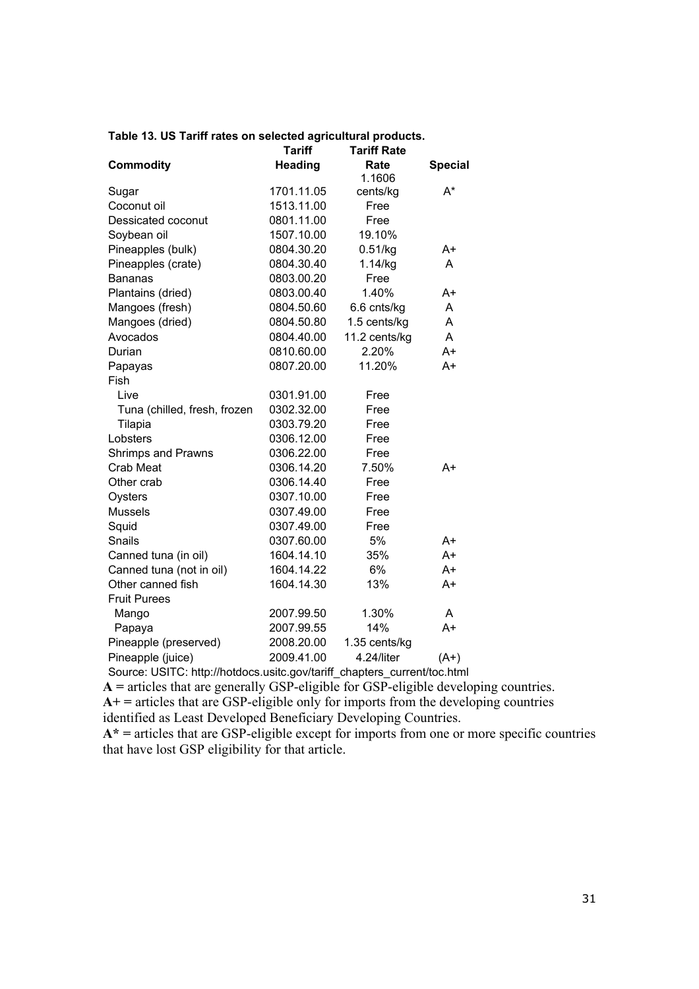|  |  |  | Table 13. US Tariff rates on selected agricultural products. |  |  |
|--|--|--|--------------------------------------------------------------|--|--|
|--|--|--|--------------------------------------------------------------|--|--|

|                              | <b>Tariff</b>  | <b>Tariff Rate</b> |                |
|------------------------------|----------------|--------------------|----------------|
| <b>Commodity</b>             | <b>Heading</b> | Rate               | <b>Special</b> |
|                              |                | 1.1606             |                |
| Sugar                        | 1701.11.05     | cents/kg           | A*             |
| Coconut oil                  | 1513.11.00     | Free               |                |
| Dessicated coconut           | 0801.11.00     | Free               |                |
| Soybean oil                  | 1507.10.00     | 19.10%             |                |
| Pineapples (bulk)            | 0804.30.20     | 0.51/kg            | A+             |
| Pineapples (crate)           | 0804.30.40     | 1.14/kg            | A              |
| <b>Bananas</b>               | 0803.00.20     | Free               |                |
| Plantains (dried)            | 0803.00.40     | 1.40%              | A+             |
| Mangoes (fresh)              | 0804.50.60     | 6.6 cnts/kg        | A              |
| Mangoes (dried)              | 0804.50.80     | 1.5 cents/kg       | Α              |
| Avocados                     | 0804.40.00     | 11.2 cents/kg      | A              |
| Durian                       | 0810.60.00     | 2.20%              | A+             |
| Papayas                      | 0807.20.00     | 11.20%             | $A+$           |
| Fish                         |                |                    |                |
| Live                         | 0301.91.00     | Free               |                |
| Tuna (chilled, fresh, frozen | 0302.32.00     | Free               |                |
| Tilapia                      | 0303.79.20     | Free               |                |
| Lobsters                     | 0306.12.00     | Free               |                |
| Shrimps and Prawns           | 0306.22.00     | Free               |                |
| Crab Meat                    | 0306.14.20     | 7.50%              | $A+$           |
| Other crab                   | 0306.14.40     | Free               |                |
| Oysters                      | 0307.10.00     | Free               |                |
| <b>Mussels</b>               | 0307.49.00     | Free               |                |
| Squid                        | 0307.49.00     | Free               |                |
| Snails                       | 0307.60.00     | 5%                 | A+             |
| Canned tuna (in oil)         | 1604.14.10     | 35%                | A+             |
| Canned tuna (not in oil)     | 1604.14.22     | 6%                 | A+             |
| Other canned fish            | 1604.14.30     | 13%                | A+             |
| <b>Fruit Purees</b>          |                |                    |                |
| Mango                        | 2007.99.50     | 1.30%              | A              |
| Papaya                       | 2007.99.55     | 14%                | A+             |
| Pineapple (preserved)        | 2008.20.00     | 1.35 cents/kg      |                |
| Pineapple (juice)            | 2009.41.00     | 4.24/liter         | $(A+)$         |

Source: USITC: http://hotdocs.usitc.gov/tariff\_chapters\_current/toc.html

**A =** articles that are generally GSP-eligible for GSP-eligible developing countries.

**A+ =** articles that are GSP-eligible only for imports from the developing countries

identified as Least Developed Beneficiary Developing Countries.

**A\* =** articles that are GSP-eligible except for imports from one or more specific countries that have lost GSP eligibility for that article.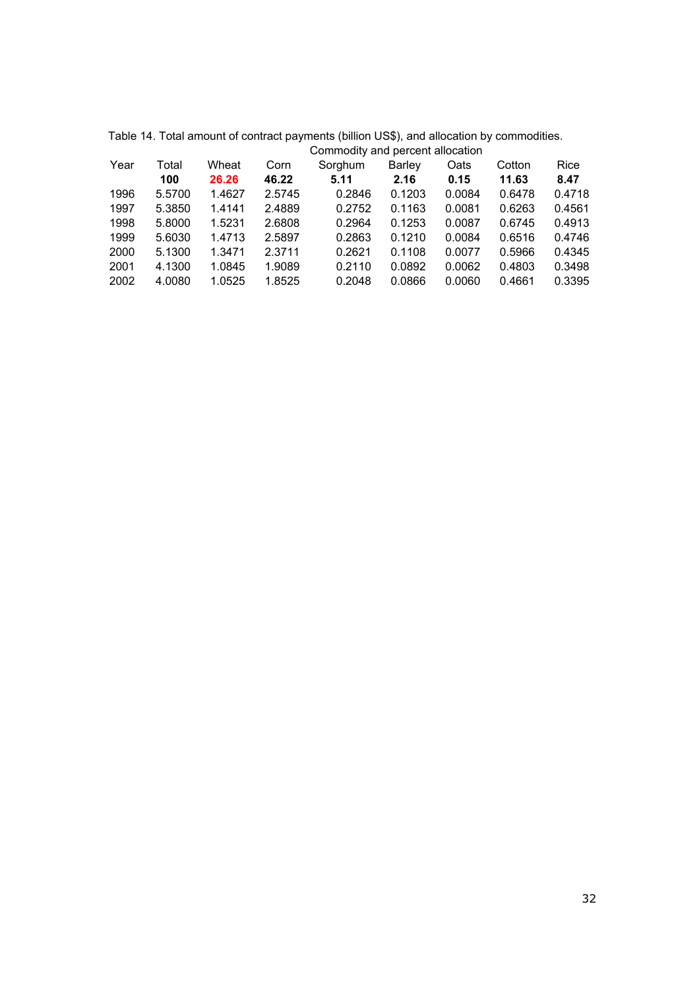|      |        |        |        | Commodity and percent anocation |        |        |        |        |
|------|--------|--------|--------|---------------------------------|--------|--------|--------|--------|
| Year | Total  | Wheat  | Corn   | Sorghum                         | Barley | Oats   | Cotton | Rice   |
|      | 100    | 26.26  | 46.22  | 5.11                            | 2.16   | 0.15   | 11.63  | 8.47   |
| 1996 | 5.5700 | 1.4627 | 2.5745 | 0.2846                          | 0.1203 | 0.0084 | 0.6478 | 0.4718 |
| 1997 | 5.3850 | 1.4141 | 2.4889 | 0.2752                          | 0.1163 | 0.0081 | 0.6263 | 0.4561 |
| 1998 | 5.8000 | 1.5231 | 2.6808 | 0.2964                          | 0.1253 | 0.0087 | 0.6745 | 0.4913 |
| 1999 | 5.6030 | 1.4713 | 2.5897 | 0.2863                          | 0.1210 | 0.0084 | 0.6516 | 0.4746 |
| 2000 | 5.1300 | 1.3471 | 2.3711 | 0.2621                          | 0.1108 | 0.0077 | 0.5966 | 0.4345 |
| 2001 | 4.1300 | 1.0845 | 1.9089 | 0.2110                          | 0.0892 | 0.0062 | 0.4803 | 0.3498 |
| 2002 | 4.0080 | 1.0525 | 1.8525 | 0.2048                          | 0.0866 | 0.0060 | 0.4661 | 0.3395 |
|      |        |        |        |                                 |        |        |        |        |

Table 14. Total amount of contract payments (billion US\$), and allocation by commodities. Commodity and percent allocation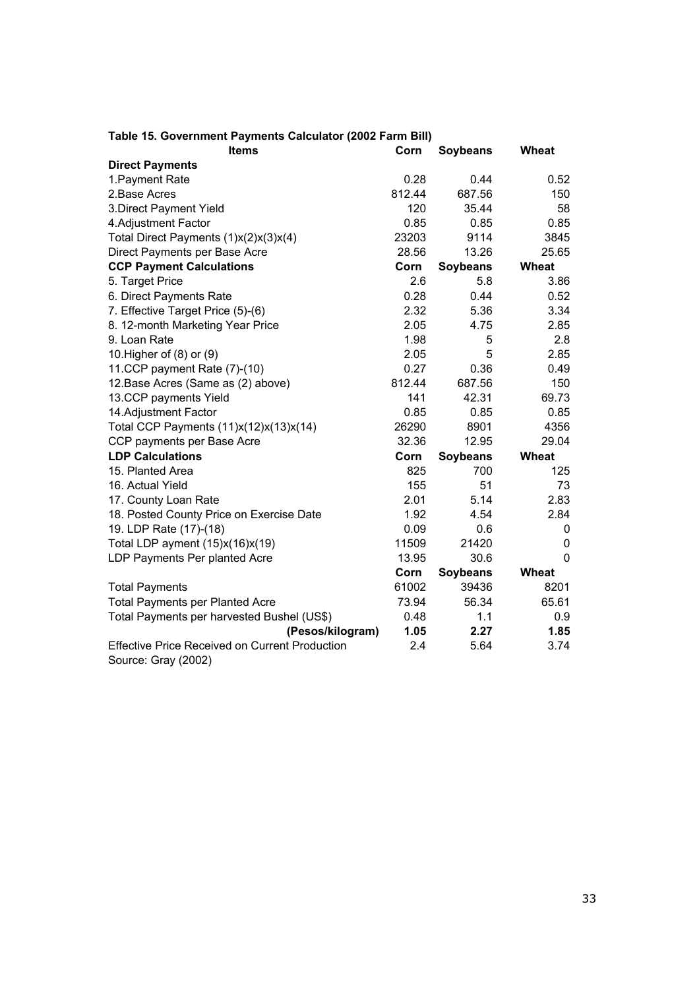| <b>Items</b>                                                                 | Corn   | <b>Soybeans</b> | <b>Wheat</b> |
|------------------------------------------------------------------------------|--------|-----------------|--------------|
| <b>Direct Payments</b>                                                       |        |                 |              |
| 1. Payment Rate                                                              | 0.28   | 0.44            | 0.52         |
| 2.Base Acres                                                                 | 812.44 | 687.56          | 150          |
| 3. Direct Payment Yield                                                      | 120    | 35.44           | 58           |
| 4. Adjustment Factor                                                         | 0.85   | 0.85            | 0.85         |
| Total Direct Payments (1)x(2)x(3)x(4)                                        | 23203  | 9114            | 3845         |
| Direct Payments per Base Acre                                                | 28.56  | 13.26           | 25.65        |
| <b>CCP Payment Calculations</b>                                              | Corn   | <b>Soybeans</b> | Wheat        |
| 5. Target Price                                                              | 2.6    | 5.8             | 3.86         |
| 6. Direct Payments Rate                                                      | 0.28   | 0.44            | 0.52         |
| 7. Effective Target Price (5)-(6)                                            | 2.32   | 5.36            | 3.34         |
| 8. 12-month Marketing Year Price                                             | 2.05   | 4.75            | 2.85         |
| 9. Loan Rate                                                                 | 1.98   | 5               | 2.8          |
| 10. Higher of (8) or (9)                                                     | 2.05   | 5               | 2.85         |
| 11.CCP payment Rate (7)-(10)                                                 | 0.27   | 0.36            | 0.49         |
| 12. Base Acres (Same as (2) above)                                           | 812.44 | 687.56          | 150          |
| 13.CCP payments Yield                                                        | 141    | 42.31           | 69.73        |
| 14. Adjustment Factor                                                        | 0.85   | 0.85            | 0.85         |
| Total CCP Payments (11)x(12)x(13)x(14)                                       | 26290  | 8901            | 4356         |
| CCP payments per Base Acre                                                   | 32.36  | 12.95           | 29.04        |
| <b>LDP Calculations</b>                                                      | Corn   | <b>Soybeans</b> | Wheat        |
| 15. Planted Area                                                             | 825    | 700             | 125          |
| 16. Actual Yield                                                             | 155    | 51              | 73           |
| 17. County Loan Rate                                                         | 2.01   | 5.14            | 2.83         |
| 18. Posted County Price on Exercise Date                                     | 1.92   | 4.54            | 2.84         |
| 19. LDP Rate (17)-(18)                                                       | 0.09   | 0.6             | 0            |
| Total LDP ayment (15)x(16)x(19)                                              | 11509  | 21420           | 0            |
| LDP Payments Per planted Acre                                                | 13.95  | 30.6            | $\mathbf 0$  |
|                                                                              | Corn   | <b>Soybeans</b> | Wheat        |
| <b>Total Payments</b>                                                        | 61002  | 39436           | 8201         |
| <b>Total Payments per Planted Acre</b>                                       | 73.94  | 56.34           | 65.61        |
| Total Payments per harvested Bushel (US\$)                                   | 0.48   | 1.1             | 0.9          |
| (Pesos/kilogram)                                                             | 1.05   | 2.27            | 1.85         |
| <b>Effective Price Received on Current Production</b><br>Source: Gray (2002) | 2.4    | 5.64            | 3.74         |

#### **Table 15. Government Payments Calculator (2002 Farm Bill)**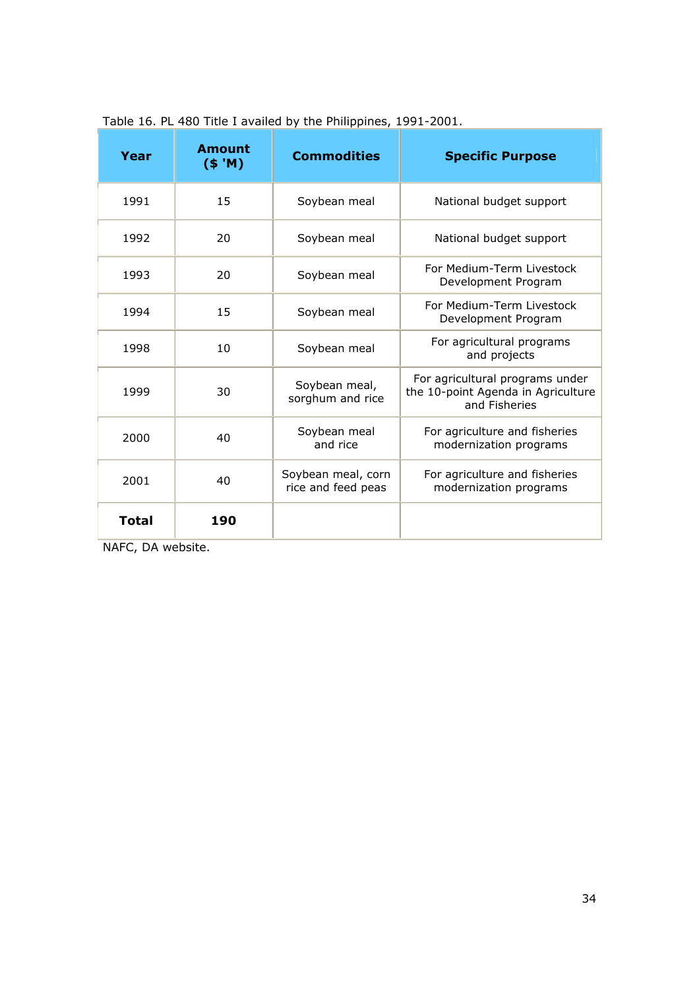| Year         | Amount<br>$($ \$ 'M) | <b>Commodities</b>                       | <b>Specific Purpose</b>                                                                |
|--------------|----------------------|------------------------------------------|----------------------------------------------------------------------------------------|
| 1991         | 15                   | Soybean meal                             | National budget support                                                                |
| 1992         | 20                   | Soybean meal                             | National budget support                                                                |
| 1993         | 20                   | Soybean meal                             | For Medium-Term Livestock<br>Development Program                                       |
| 1994         | 15                   | Soybean meal                             | For Medium-Term Livestock<br>Development Program                                       |
| 1998         | 10                   | Soybean meal                             | For agricultural programs<br>and projects                                              |
| 1999         | 30                   | Soybean meal,<br>sorghum and rice        | For agricultural programs under<br>the 10-point Agenda in Agriculture<br>and Fisheries |
| 2000         | 40                   | Soybean meal<br>and rice                 | For agriculture and fisheries<br>modernization programs                                |
| 2001         | 40                   | Soybean meal, corn<br>rice and feed peas | For agriculture and fisheries<br>modernization programs                                |
| <b>Total</b> | 190                  |                                          |                                                                                        |

Table 16. PL 480 Title I availed by the Philippines, 1991-2001.

NAFC, DA website.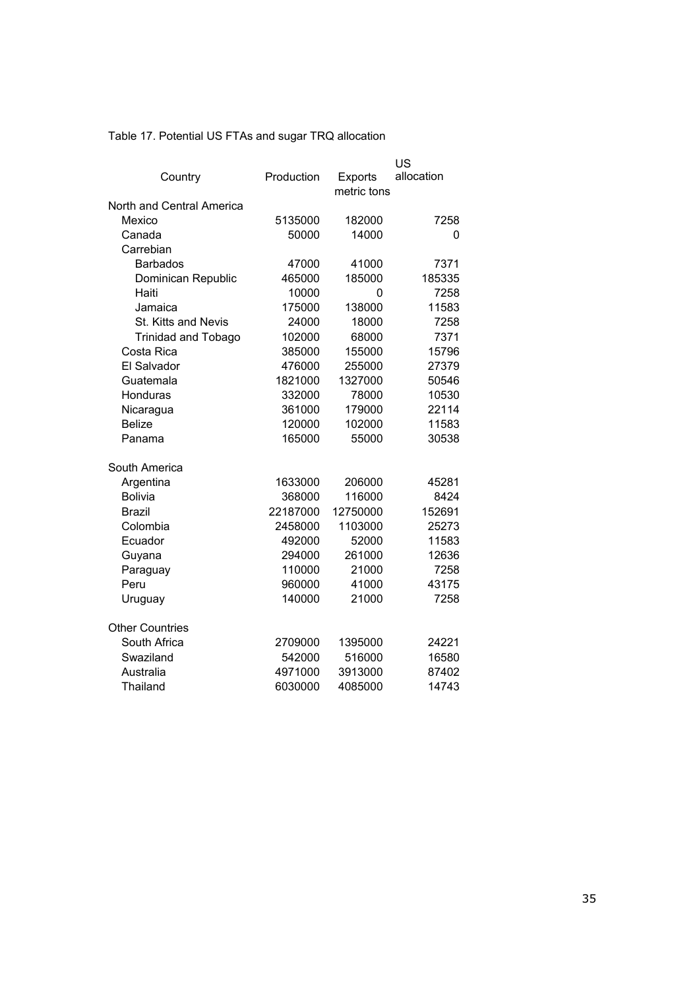Table 17. Potential US FTAs and sugar TRQ allocation

|                            |            |                        | US         |
|----------------------------|------------|------------------------|------------|
| Country                    | Production | Exports<br>metric tons | allocation |
| North and Central America  |            |                        |            |
| Mexico                     | 5135000    | 182000                 | 7258       |
| Canada                     | 50000      | 14000                  | 0          |
| Carrebian                  |            |                        |            |
| <b>Barbados</b>            | 47000      | 41000                  | 7371       |
| Dominican Republic         | 465000     | 185000                 | 185335     |
| Haiti                      | 10000      | 0                      | 7258       |
| Jamaica                    | 175000     | 138000                 | 11583      |
| St. Kitts and Nevis        | 24000      | 18000                  | 7258       |
| <b>Trinidad and Tobago</b> | 102000     | 68000                  | 7371       |
| Costa Rica                 | 385000     | 155000                 | 15796      |
| El Salvador                | 476000     | 255000                 | 27379      |
| Guatemala                  | 1821000    | 1327000                | 50546      |
| Honduras                   | 332000     | 78000                  | 10530      |
| Nicaragua                  | 361000     | 179000                 | 22114      |
| <b>Belize</b>              | 120000     | 102000                 | 11583      |
| Panama                     | 165000     | 55000                  | 30538      |
| South America              |            |                        |            |
| Argentina                  | 1633000    | 206000                 | 45281      |
| <b>Bolivia</b>             | 368000     | 116000                 | 8424       |
| <b>Brazil</b>              | 22187000   | 12750000               | 152691     |
| Colombia                   | 2458000    | 1103000                | 25273      |
| Ecuador                    | 492000     | 52000                  | 11583      |
| Guyana                     | 294000     | 261000                 | 12636      |
| Paraguay                   | 110000     | 21000                  | 7258       |
| Peru                       | 960000     | 41000                  | 43175      |
| Uruguay                    | 140000     | 21000                  | 7258       |
| <b>Other Countries</b>     |            |                        |            |
| South Africa               | 2709000    | 1395000                | 24221      |
| Swaziland                  | 542000     | 516000                 | 16580      |
| Australia                  | 4971000    | 3913000                | 87402      |
| Thailand                   | 6030000    | 4085000                | 14743      |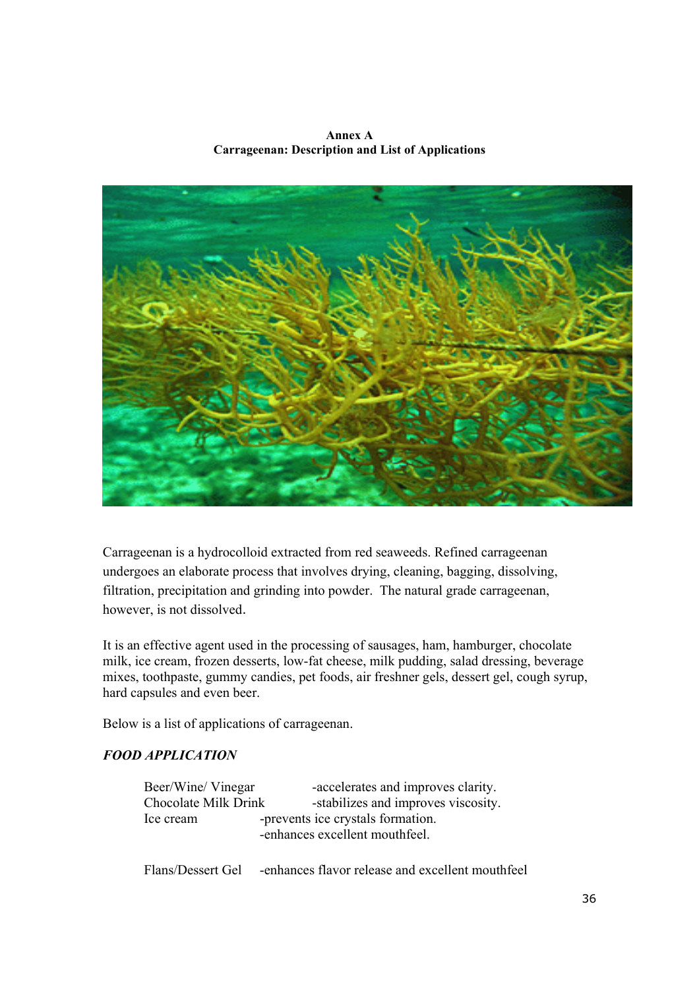**Annex A Carrageenan: Description and List of Applications** 



Carrageenan is a hydrocolloid extracted from red seaweeds. Refined carrageenan undergoes an elaborate process that involves drying, cleaning, bagging, dissolving, filtration, precipitation and grinding into powder. The natural grade carrageenan, however, is not dissolved.

It is an effective agent used in the processing of sausages, ham, hamburger, chocolate milk, ice cream, frozen desserts, low-fat cheese, milk pudding, salad dressing, beverage mixes, toothpaste, gummy candies, pet foods, air freshner gels, dessert gel, cough syrup, hard capsules and even beer.

Below is a list of applications of carrageenan.

# *FOOD APPLICATION*

| Beer/Wine/ Vinegar   | -accelerates and improves clarity.                                  |
|----------------------|---------------------------------------------------------------------|
| Chocolate Milk Drink | -stabilizes and improves viscosity.                                 |
| Ice cream            | -prevents ice crystals formation.<br>-enhances excellent mouthfeel. |
| Flans/Dessert Gel    | -enhances flavor release and excellent mouthfeel                    |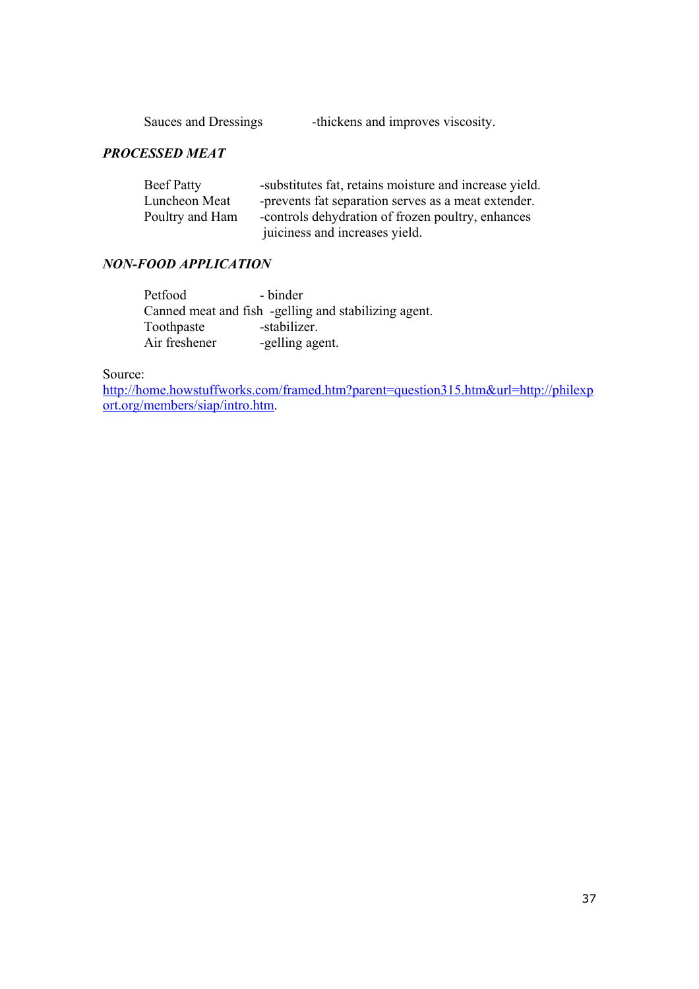| Sauces and Dressings | -thickens and improves viscosity. |
|----------------------|-----------------------------------|
|                      |                                   |

# *PROCESSED MEAT*

| <b>Beef Patty</b> | -substitutes fat, retains moisture and increase yield. |
|-------------------|--------------------------------------------------------|
| Luncheon Meat     | -prevents fat separation serves as a meat extender.    |
| Poultry and Ham   | -controls dehydration of frozen poultry, enhances      |
|                   | juiciness and increases yield.                         |

# *NON-FOOD APPLICATION*

| Petfood       | - binder                                             |
|---------------|------------------------------------------------------|
|               | Canned meat and fish -gelling and stabilizing agent. |
| Toothpaste    | -stabilizer.                                         |
| Air freshener | -gelling agent.                                      |

Source:

http://home.howstuffworks.com/framed.htm?parent=question315.htm&url=http://philexp ort.org/members/siap/intro.htm.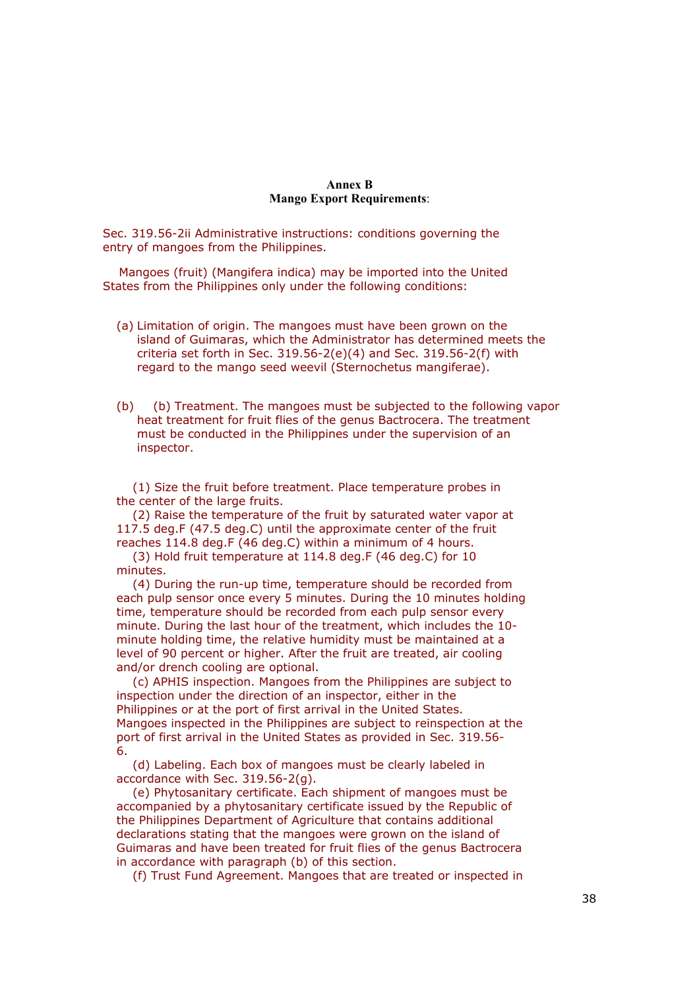#### **Annex B Mango Export Requirements**:

Sec. 319.56-2ii Administrative instructions: conditions governing the entry of mangoes from the Philippines.

 Mangoes (fruit) (Mangifera indica) may be imported into the United States from the Philippines only under the following conditions:

- (a) Limitation of origin. The mangoes must have been grown on the island of Guimaras, which the Administrator has determined meets the criteria set forth in Sec.  $319.56-2(e)(4)$  and Sec.  $319.56-2(f)$  with regard to the mango seed weevil (Sternochetus mangiferae).
- (b) (b) Treatment. The mangoes must be subjected to the following vapor heat treatment for fruit flies of the genus Bactrocera. The treatment must be conducted in the Philippines under the supervision of an inspector.

 (1) Size the fruit before treatment. Place temperature probes in the center of the large fruits.

 (2) Raise the temperature of the fruit by saturated water vapor at 117.5 deg.F (47.5 deg.C) until the approximate center of the fruit reaches 114.8 deg.F (46 deg.C) within a minimum of 4 hours.

 (3) Hold fruit temperature at 114.8 deg.F (46 deg.C) for 10 minutes.

 (4) During the run-up time, temperature should be recorded from each pulp sensor once every 5 minutes. During the 10 minutes holding time, temperature should be recorded from each pulp sensor every minute. During the last hour of the treatment, which includes the 10 minute holding time, the relative humidity must be maintained at a level of 90 percent or higher. After the fruit are treated, air cooling and/or drench cooling are optional.

 (c) APHIS inspection. Mangoes from the Philippines are subject to inspection under the direction of an inspector, either in the Philippines or at the port of first arrival in the United States. Mangoes inspected in the Philippines are subject to reinspection at the port of first arrival in the United States as provided in Sec. 319.56- 6.

 (d) Labeling. Each box of mangoes must be clearly labeled in accordance with Sec. 319.56-2(g).

 (e) Phytosanitary certificate. Each shipment of mangoes must be accompanied by a phytosanitary certificate issued by the Republic of the Philippines Department of Agriculture that contains additional declarations stating that the mangoes were grown on the island of Guimaras and have been treated for fruit flies of the genus Bactrocera in accordance with paragraph (b) of this section.

(f) Trust Fund Agreement. Mangoes that are treated or inspected in